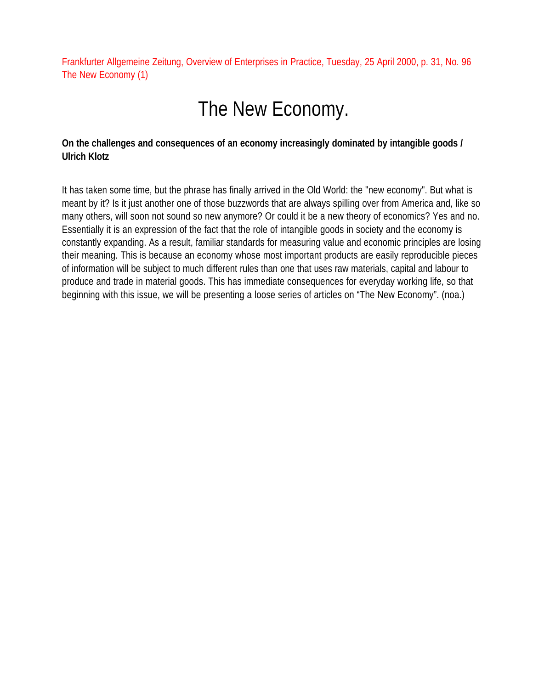Frankfurter Allgemeine Zeitung, Overview of Enterprises in Practice, Tuesday, 25 April 2000, p. 31, No. 96 The New Economy (1)

# The New Economy.

# **On the challenges and consequences of an economy increasingly dominated by intangible goods / Ulrich Klotz**

It has taken some time, but the phrase has finally arrived in the Old World: the "new economy". But what is meant by it? Is it just another one of those buzzwords that are always spilling over from America and, like so many others, will soon not sound so new anymore? Or could it be a new theory of economics? Yes and no. Essentially it is an expression of the fact that the role of intangible goods in society and the economy is constantly expanding. As a result, familiar standards for measuring value and economic principles are losing their meaning. This is because an economy whose most important products are easily reproducible pieces of information will be subject to much different rules than one that uses raw materials, capital and labour to produce and trade in material goods. This has immediate consequences for everyday working life, so that beginning with this issue, we will be presenting a loose series of articles on "The New Economy". (noa.)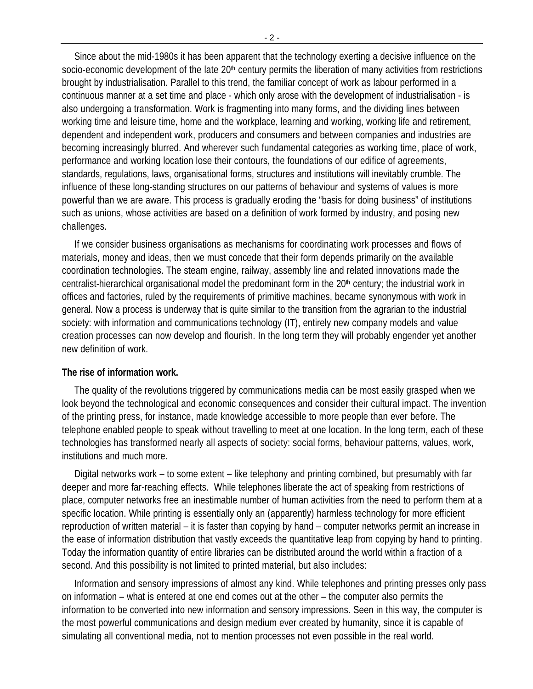Since about the mid-1980s it has been apparent that the technology exerting a decisive influence on the socio-economic development of the late 20<sup>th</sup> century permits the liberation of many activities from restrictions brought by industrialisation. Parallel to this trend, the familiar concept of work as labour performed in a continuous manner at a set time and place - which only arose with the development of industrialisation - is also undergoing a transformation. Work is fragmenting into many forms, and the dividing lines between working time and leisure time, home and the workplace, learning and working, working life and retirement, dependent and independent work, producers and consumers and between companies and industries are becoming increasingly blurred. And wherever such fundamental categories as working time, place of work, performance and working location lose their contours, the foundations of our edifice of agreements, standards, regulations, laws, organisational forms, structures and institutions will inevitably crumble. The influence of these long-standing structures on our patterns of behaviour and systems of values is more powerful than we are aware. This process is gradually eroding the "basis for doing business" of institutions such as unions, whose activities are based on a definition of work formed by industry, and posing new challenges.

If we consider business organisations as mechanisms for coordinating work processes and flows of materials, money and ideas, then we must concede that their form depends primarily on the available coordination technologies. The steam engine, railway, assembly line and related innovations made the centralist-hierarchical organisational model the predominant form in the  $20<sup>th</sup>$  century; the industrial work in offices and factories, ruled by the requirements of primitive machines, became synonymous with work in general. Now a process is underway that is quite similar to the transition from the agrarian to the industrial society: with information and communications technology (IT), entirely new company models and value creation processes can now develop and flourish. In the long term they will probably engender yet another new definition of work.

### **The rise of information work.**

The quality of the revolutions triggered by communications media can be most easily grasped when we look beyond the technological and economic consequences and consider their cultural impact. The invention of the printing press, for instance, made knowledge accessible to more people than ever before. The telephone enabled people to speak without travelling to meet at one location. In the long term, each of these technologies has transformed nearly all aspects of society: social forms, behaviour patterns, values, work, institutions and much more.

Digital networks work – to some extent – like telephony and printing combined, but presumably with far deeper and more far-reaching effects. While telephones liberate the act of speaking from restrictions of place, computer networks free an inestimable number of human activities from the need to perform them at a specific location. While printing is essentially only an (apparently) harmless technology for more efficient reproduction of written material – it is faster than copying by hand – computer networks permit an increase in the ease of information distribution that vastly exceeds the quantitative leap from copying by hand to printing. Today the information quantity of entire libraries can be distributed around the world within a fraction of a second. And this possibility is not limited to printed material, but also includes:

Information and sensory impressions of almost any kind. While telephones and printing presses only pass on information – what is entered at one end comes out at the other – the computer also permits the information to be converted into new information and sensory impressions. Seen in this way, the computer is the most powerful communications and design medium ever created by humanity, since it is capable of simulating all conventional media, not to mention processes not even possible in the real world.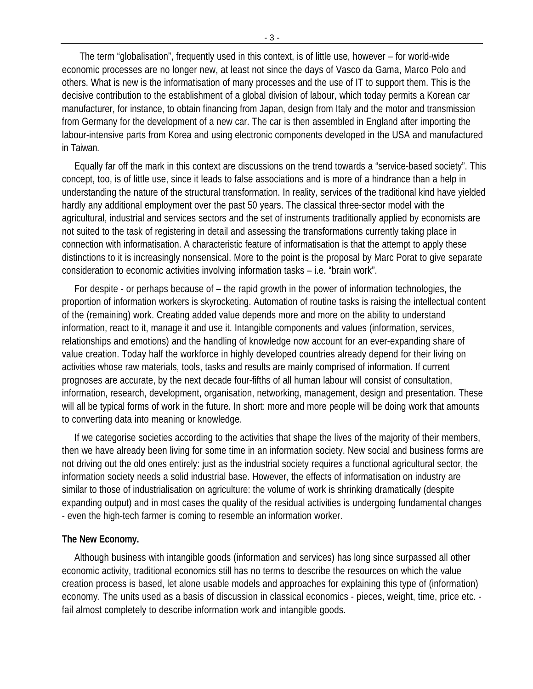The term "globalisation", frequently used in this context, is of little use, however – for world-wide economic processes are no longer new, at least not since the days of Vasco da Gama, Marco Polo and others. What is new is the informatisation of many processes and the use of IT to support them. This is the decisive contribution to the establishment of a global division of labour, which today permits a Korean car manufacturer, for instance, to obtain financing from Japan, design from Italy and the motor and transmission from Germany for the development of a new car. The car is then assembled in England after importing the labour-intensive parts from Korea and using electronic components developed in the USA and manufactured in Taiwan.

Equally far off the mark in this context are discussions on the trend towards a "service-based society". This concept, too, is of little use, since it leads to false associations and is more of a hindrance than a help in understanding the nature of the structural transformation. In reality, services of the traditional kind have yielded hardly any additional employment over the past 50 years. The classical three-sector model with the agricultural, industrial and services sectors and the set of instruments traditionally applied by economists are not suited to the task of registering in detail and assessing the transformations currently taking place in connection with informatisation. A characteristic feature of informatisation is that the attempt to apply these distinctions to it is increasingly nonsensical. More to the point is the proposal by Marc Porat to give separate consideration to economic activities involving information tasks – i.e. "brain work".

For despite - or perhaps because of – the rapid growth in the power of information technologies, the proportion of information workers is skyrocketing. Automation of routine tasks is raising the intellectual content of the (remaining) work. Creating added value depends more and more on the ability to understand information, react to it, manage it and use it. Intangible components and values (information, services, relationships and emotions) and the handling of knowledge now account for an ever-expanding share of value creation. Today half the workforce in highly developed countries already depend for their living on activities whose raw materials, tools, tasks and results are mainly comprised of information. If current prognoses are accurate, by the next decade four-fifths of all human labour will consist of consultation, information, research, development, organisation, networking, management, design and presentation. These will all be typical forms of work in the future. In short: more and more people will be doing work that amounts to converting data into meaning or knowledge.

If we categorise societies according to the activities that shape the lives of the majority of their members, then we have already been living for some time in an information society. New social and business forms are not driving out the old ones entirely: just as the industrial society requires a functional agricultural sector, the information society needs a solid industrial base. However, the effects of informatisation on industry are similar to those of industrialisation on agriculture: the volume of work is shrinking dramatically (despite expanding output) and in most cases the quality of the residual activities is undergoing fundamental changes - even the high-tech farmer is coming to resemble an information worker.

#### **The New Economy.**

Although business with intangible goods (information and services) has long since surpassed all other economic activity, traditional economics still has no terms to describe the resources on which the value creation process is based, let alone usable models and approaches for explaining this type of (information) economy. The units used as a basis of discussion in classical economics - pieces, weight, time, price etc. fail almost completely to describe information work and intangible goods.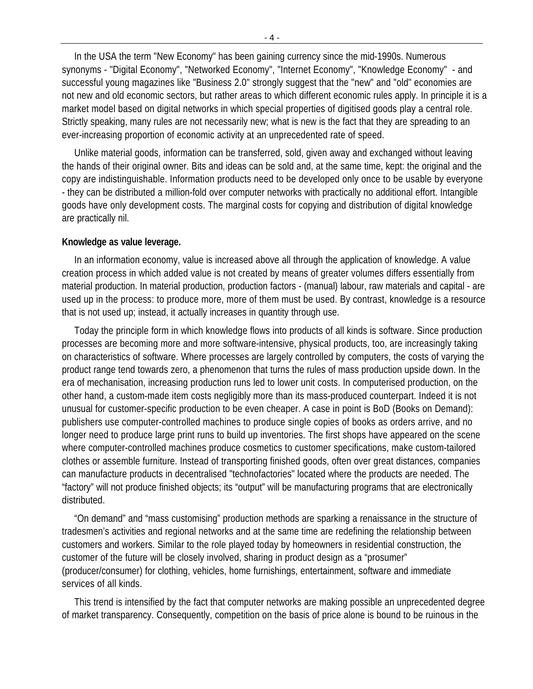In the USA the term "New Economy" has been gaining currency since the mid-1990s. Numerous synonyms - "Digital Economy", "Networked Economy", "Internet Economy", "Knowledge Economy" - and successful young magazines like "Business 2.0" strongly suggest that the "new" and "old" economies are not new and old economic sectors, but rather areas to which different economic rules apply. In principle it is a market model based on digital networks in which special properties of digitised goods play a central role. Strictly speaking, many rules are not necessarily new; what is new is the fact that they are spreading to an ever-increasing proportion of economic activity at an unprecedented rate of speed.

Unlike material goods, information can be transferred, sold, given away and exchanged without leaving the hands of their original owner. Bits and ideas can be sold and, at the same time, kept: the original and the copy are indistinguishable. Information products need to be developed only once to be usable by everyone - they can be distributed a million-fold over computer networks with practically no additional effort. Intangible goods have only development costs. The marginal costs for copying and distribution of digital knowledge are practically nil.

#### **Knowledge as value leverage.**

In an information economy, value is increased above all through the application of knowledge. A value creation process in which added value is not created by means of greater volumes differs essentially from material production. In material production, production factors - (manual) labour, raw materials and capital - are used up in the process: to produce more, more of them must be used. By contrast, knowledge is a resource that is not used up; instead, it actually increases in quantity through use.

Today the principle form in which knowledge flows into products of all kinds is software. Since production processes are becoming more and more software-intensive, physical products, too, are increasingly taking on characteristics of software. Where processes are largely controlled by computers, the costs of varying the product range tend towards zero, a phenomenon that turns the rules of mass production upside down. In the era of mechanisation, increasing production runs led to lower unit costs. In computerised production, on the other hand, a custom-made item costs negligibly more than its mass-produced counterpart. Indeed it is not unusual for customer-specific production to be even cheaper. A case in point is BoD (Books on Demand): publishers use computer-controlled machines to produce single copies of books as orders arrive, and no longer need to produce large print runs to build up inventories. The first shops have appeared on the scene where computer-controlled machines produce cosmetics to customer specifications, make custom-tailored clothes or assemble furniture. Instead of transporting finished goods, often over great distances, companies can manufacture products in decentralised "technofactories" located where the products are needed. The "factory" will not produce finished objects; its "output" will be manufacturing programs that are electronically distributed.

"On demand" and "mass customising" production methods are sparking a renaissance in the structure of tradesmen's activities and regional networks and at the same time are redefining the relationship between customers and workers. Similar to the role played today by homeowners in residential construction, the customer of the future will be closely involved, sharing in product design as a "prosumer" (producer/consumer) for clothing, vehicles, home furnishings, entertainment, software and immediate services of all kinds.

This trend is intensified by the fact that computer networks are making possible an unprecedented degree of market transparency. Consequently, competition on the basis of price alone is bound to be ruinous in the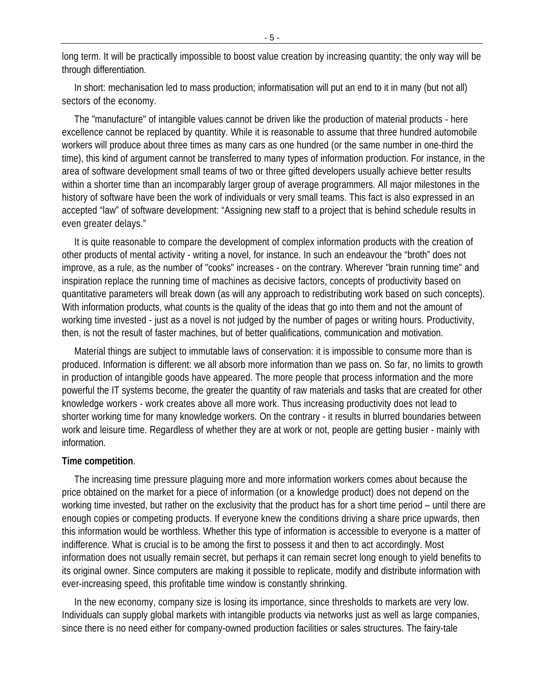long term. It will be practically impossible to boost value creation by increasing quantity; the only way will be through differentiation.

In short: mechanisation led to mass production; informatisation will put an end to it in many (but not all) sectors of the economy.

The "manufacture" of intangible values cannot be driven like the production of material products - here excellence cannot be replaced by quantity. While it is reasonable to assume that three hundred automobile workers will produce about three times as many cars as one hundred (or the same number in one-third the time), this kind of argument cannot be transferred to many types of information production. For instance, in the area of software development small teams of two or three gifted developers usually achieve better results within a shorter time than an incomparably larger group of average programmers. All major milestones in the history of software have been the work of individuals or very small teams. This fact is also expressed in an accepted "law" of software development: "Assigning new staff to a project that is behind schedule results in even greater delays."

It is quite reasonable to compare the development of complex information products with the creation of other products of mental activity - writing a novel, for instance. In such an endeavour the "broth" does not improve, as a rule, as the number of "cooks" increases - on the contrary. Wherever "brain running time" and inspiration replace the running time of machines as decisive factors, concepts of productivity based on quantitative parameters will break down (as will any approach to redistributing work based on such concepts). With information products, what counts is the quality of the ideas that go into them and not the amount of working time invested - just as a novel is not judged by the number of pages or writing hours. Productivity, then, is not the result of faster machines, but of better qualifications, communication and motivation.

Material things are subject to immutable laws of conservation: it is impossible to consume more than is produced. Information is different: we all absorb more information than we pass on. So far, no limits to growth in production of intangible goods have appeared. The more people that process information and the more powerful the IT systems become, the greater the quantity of raw materials and tasks that are created for other knowledge workers - work creates above all more work. Thus increasing productivity does not lead to shorter working time for many knowledge workers. On the contrary - it results in blurred boundaries between work and leisure time. Regardless of whether they are at work or not, people are getting busier - mainly with information.

#### **Time competition**.

The increasing time pressure plaguing more and more information workers comes about because the price obtained on the market for a piece of information (or a knowledge product) does not depend on the working time invested, but rather on the exclusivity that the product has for a short time period – until there are enough copies or competing products. If everyone knew the conditions driving a share price upwards, then this information would be worthless. Whether this type of information is accessible to everyone is a matter of indifference. What is crucial is to be among the first to possess it and then to act accordingly. Most information does not usually remain secret, but perhaps it can remain secret long enough to yield benefits to its original owner. Since computers are making it possible to replicate, modify and distribute information with ever-increasing speed, this profitable time window is constantly shrinking.

In the new economy, company size is losing its importance, since thresholds to markets are very low. Individuals can supply global markets with intangible products via networks just as well as large companies, since there is no need either for company-owned production facilities or sales structures. The fairy-tale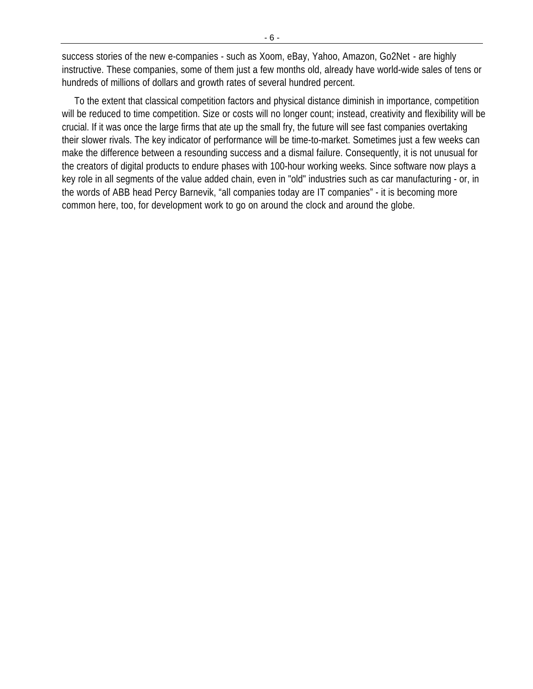success stories of the new e-companies - such as Xoom, eBay, Yahoo, Amazon, Go2Net - are highly instructive. These companies, some of them just a few months old, already have world-wide sales of tens or hundreds of millions of dollars and growth rates of several hundred percent.

To the extent that classical competition factors and physical distance diminish in importance, competition will be reduced to time competition. Size or costs will no longer count; instead, creativity and flexibility will be crucial. If it was once the large firms that ate up the small fry, the future will see fast companies overtaking their slower rivals. The key indicator of performance will be time-to-market. Sometimes just a few weeks can make the difference between a resounding success and a dismal failure. Consequently, it is not unusual for the creators of digital products to endure phases with 100-hour working weeks. Since software now plays a key role in all segments of the value added chain, even in "old" industries such as car manufacturing - or, in the words of ABB head Percy Barnevik, "all companies today are IT companies" - it is becoming more common here, too, for development work to go on around the clock and around the globe.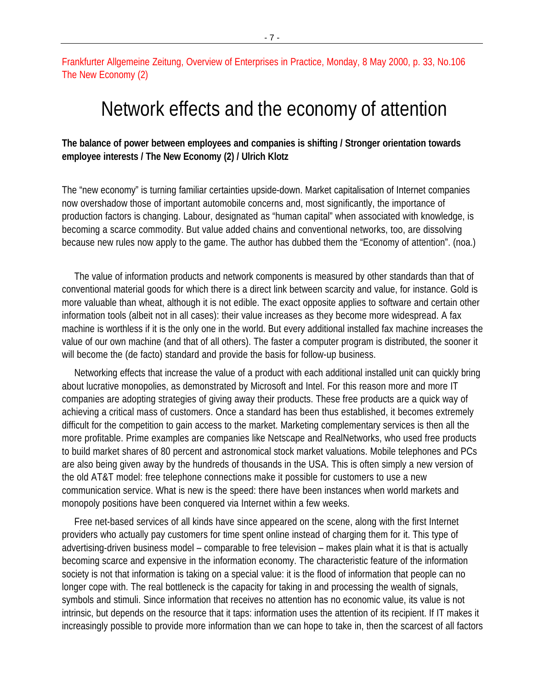Frankfurter Allgemeine Zeitung, Overview of Enterprises in Practice, Monday, 8 May 2000, p. 33, No.106 The New Economy (2)

# Network effects and the economy of attention

# **The balance of power between employees and companies is shifting / Stronger orientation towards employee interests / The New Economy (2) / Ulrich Klotz**

The "new economy" is turning familiar certainties upside-down. Market capitalisation of Internet companies now overshadow those of important automobile concerns and, most significantly, the importance of production factors is changing. Labour, designated as "human capital" when associated with knowledge, is becoming a scarce commodity. But value added chains and conventional networks, too, are dissolving because new rules now apply to the game. The author has dubbed them the "Economy of attention". (noa.)

The value of information products and network components is measured by other standards than that of conventional material goods for which there is a direct link between scarcity and value, for instance. Gold is more valuable than wheat, although it is not edible. The exact opposite applies to software and certain other information tools (albeit not in all cases): their value increases as they become more widespread. A fax machine is worthless if it is the only one in the world. But every additional installed fax machine increases the value of our own machine (and that of all others). The faster a computer program is distributed, the sooner it will become the (de facto) standard and provide the basis for follow-up business.

Networking effects that increase the value of a product with each additional installed unit can quickly bring about lucrative monopolies, as demonstrated by Microsoft and Intel. For this reason more and more IT companies are adopting strategies of giving away their products. These free products are a quick way of achieving a critical mass of customers. Once a standard has been thus established, it becomes extremely difficult for the competition to gain access to the market. Marketing complementary services is then all the more profitable. Prime examples are companies like Netscape and RealNetworks, who used free products to build market shares of 80 percent and astronomical stock market valuations. Mobile telephones and PCs are also being given away by the hundreds of thousands in the USA. This is often simply a new version of the old AT&T model: free telephone connections make it possible for customers to use a new communication service. What is new is the speed: there have been instances when world markets and monopoly positions have been conquered via Internet within a few weeks.

Free net-based services of all kinds have since appeared on the scene, along with the first Internet providers who actually pay customers for time spent online instead of charging them for it. This type of advertising-driven business model – comparable to free television – makes plain what it is that is actually becoming scarce and expensive in the information economy. The characteristic feature of the information society is not that information is taking on a special value: it is the flood of information that people can no longer cope with. The real bottleneck is the capacity for taking in and processing the wealth of signals, symbols and stimuli. Since information that receives no attention has no economic value, its value is not intrinsic, but depends on the resource that it taps: information uses the attention of its recipient. If IT makes it increasingly possible to provide more information than we can hope to take in, then the scarcest of all factors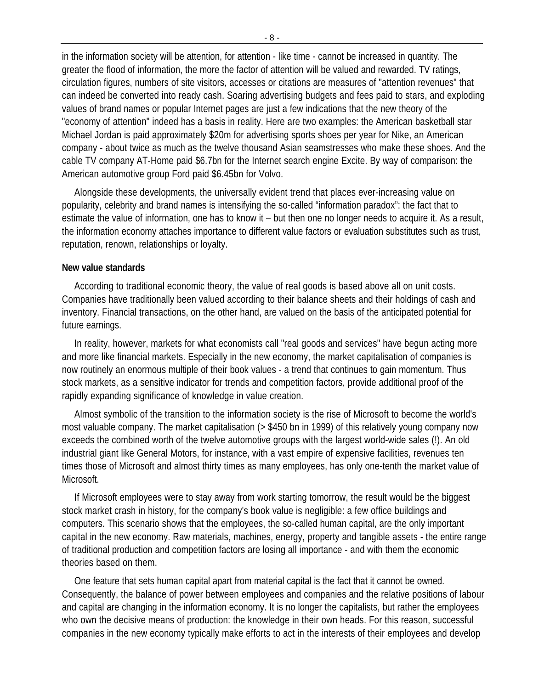in the information society will be attention, for attention - like time - cannot be increased in quantity. The greater the flood of information, the more the factor of attention will be valued and rewarded. TV ratings, circulation figures, numbers of site visitors, accesses or citations are measures of "attention revenues" that can indeed be converted into ready cash. Soaring advertising budgets and fees paid to stars, and exploding values of brand names or popular Internet pages are just a few indications that the new theory of the "economy of attention" indeed has a basis in reality. Here are two examples: the American basketball star Michael Jordan is paid approximately \$20m for advertising sports shoes per year for Nike, an American company - about twice as much as the twelve thousand Asian seamstresses who make these shoes. And the cable TV company AT-Home paid \$6.7bn for the Internet search engine Excite. By way of comparison: the American automotive group Ford paid \$6.45bn for Volvo.

Alongside these developments, the universally evident trend that places ever-increasing value on popularity, celebrity and brand names is intensifying the so-called "information paradox": the fact that to estimate the value of information, one has to know it – but then one no longer needs to acquire it. As a result, the information economy attaches importance to different value factors or evaluation substitutes such as trust, reputation, renown, relationships or loyalty.

#### **New value standards**

According to traditional economic theory, the value of real goods is based above all on unit costs. Companies have traditionally been valued according to their balance sheets and their holdings of cash and inventory. Financial transactions, on the other hand, are valued on the basis of the anticipated potential for future earnings.

In reality, however, markets for what economists call "real goods and services" have begun acting more and more like financial markets. Especially in the new economy, the market capitalisation of companies is now routinely an enormous multiple of their book values - a trend that continues to gain momentum. Thus stock markets, as a sensitive indicator for trends and competition factors, provide additional proof of the rapidly expanding significance of knowledge in value creation.

Almost symbolic of the transition to the information society is the rise of Microsoft to become the world's most valuable company. The market capitalisation (> \$450 bn in 1999) of this relatively young company now exceeds the combined worth of the twelve automotive groups with the largest world-wide sales (!). An old industrial giant like General Motors, for instance, with a vast empire of expensive facilities, revenues ten times those of Microsoft and almost thirty times as many employees, has only one-tenth the market value of Microsoft.

If Microsoft employees were to stay away from work starting tomorrow, the result would be the biggest stock market crash in history, for the company's book value is negligible: a few office buildings and computers. This scenario shows that the employees, the so-called human capital, are the only important capital in the new economy. Raw materials, machines, energy, property and tangible assets - the entire range of traditional production and competition factors are losing all importance - and with them the economic theories based on them.

One feature that sets human capital apart from material capital is the fact that it cannot be owned. Consequently, the balance of power between employees and companies and the relative positions of labour and capital are changing in the information economy. It is no longer the capitalists, but rather the employees who own the decisive means of production: the knowledge in their own heads. For this reason, successful companies in the new economy typically make efforts to act in the interests of their employees and develop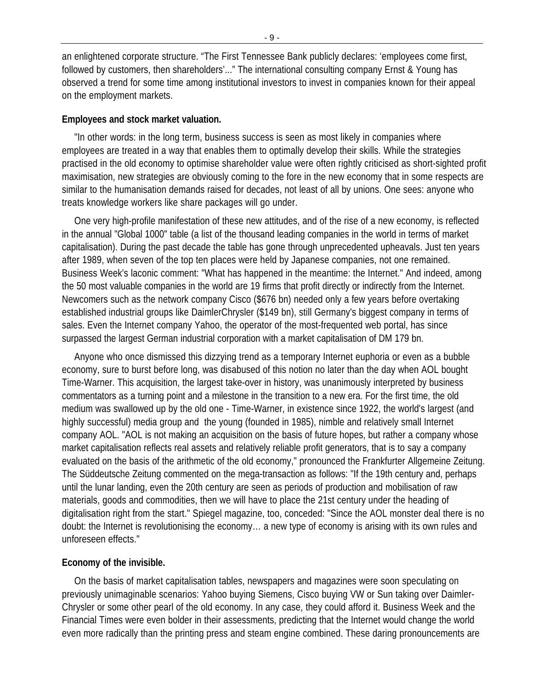an enlightened corporate structure. "The First Tennessee Bank publicly declares: 'employees come first, followed by customers, then shareholders'..." The international consulting company Ernst & Young has observed a trend for some time among institutional investors to invest in companies known for their appeal on the employment markets.

#### **Employees and stock market valuation.**

"In other words: in the long term, business success is seen as most likely in companies where employees are treated in a way that enables them to optimally develop their skills. While the strategies practised in the old economy to optimise shareholder value were often rightly criticised as short-sighted profit maximisation, new strategies are obviously coming to the fore in the new economy that in some respects are similar to the humanisation demands raised for decades, not least of all by unions. One sees: anyone who treats knowledge workers like share packages will go under.

One very high-profile manifestation of these new attitudes, and of the rise of a new economy, is reflected in the annual "Global 1000" table (a list of the thousand leading companies in the world in terms of market capitalisation). During the past decade the table has gone through unprecedented upheavals. Just ten years after 1989, when seven of the top ten places were held by Japanese companies, not one remained. Business Week's laconic comment: "What has happened in the meantime: the Internet." And indeed, among the 50 most valuable companies in the world are 19 firms that profit directly or indirectly from the Internet. Newcomers such as the network company Cisco (\$676 bn) needed only a few years before overtaking established industrial groups like DaimlerChrysler (\$149 bn), still Germany's biggest company in terms of sales. Even the Internet company Yahoo, the operator of the most-frequented web portal, has since surpassed the largest German industrial corporation with a market capitalisation of DM 179 bn.

Anyone who once dismissed this dizzying trend as a temporary Internet euphoria or even as a bubble economy, sure to burst before long, was disabused of this notion no later than the day when AOL bought Time-Warner. This acquisition, the largest take-over in history, was unanimously interpreted by business commentators as a turning point and a milestone in the transition to a new era. For the first time, the old medium was swallowed up by the old one - Time-Warner, in existence since 1922, the world's largest (and highly successful) media group and the young (founded in 1985), nimble and relatively small Internet company AOL. "AOL is not making an acquisition on the basis of future hopes, but rather a company whose market capitalisation reflects real assets and relatively reliable profit generators, that is to say a company evaluated on the basis of the arithmetic of the old economy," pronounced the Frankfurter Allgemeine Zeitung. The Süddeutsche Zeitung commented on the mega-transaction as follows: "If the 19th century and, perhaps until the lunar landing, even the 20th century are seen as periods of production and mobilisation of raw materials, goods and commodities, then we will have to place the 21st century under the heading of digitalisation right from the start." Spiegel magazine, too, conceded: "Since the AOL monster deal there is no doubt: the Internet is revolutionising the economy… a new type of economy is arising with its own rules and unforeseen effects."

### **Economy of the invisible.**

On the basis of market capitalisation tables, newspapers and magazines were soon speculating on previously unimaginable scenarios: Yahoo buying Siemens, Cisco buying VW or Sun taking over Daimler-Chrysler or some other pearl of the old economy. In any case, they could afford it. Business Week and the Financial Times were even bolder in their assessments, predicting that the Internet would change the world even more radically than the printing press and steam engine combined. These daring pronouncements are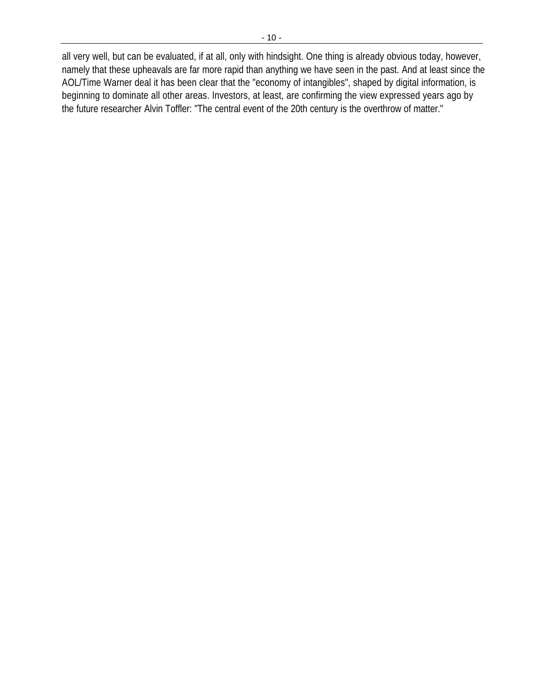all very well, but can be evaluated, if at all, only with hindsight. One thing is already obvious today, however, namely that these upheavals are far more rapid than anything we have seen in the past. And at least since the AOL/Time Warner deal it has been clear that the "economy of intangibles", shaped by digital information, is beginning to dominate all other areas. Investors, at least, are confirming the view expressed years ago by the future researcher Alvin Toffler: "The central event of the 20th century is the overthrow of matter."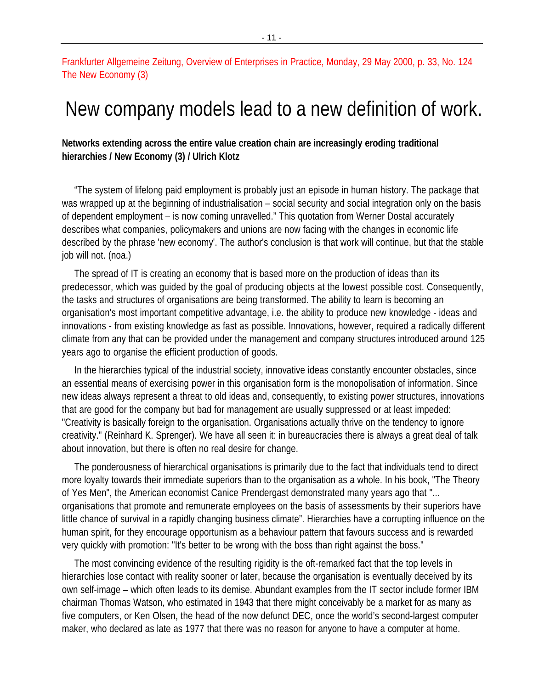# Frankfurter Allgemeine Zeitung, Overview of Enterprises in Practice, Monday, 29 May 2000, p. 33, No. 124 The New Economy (3)

# New company models lead to a new definition of work.

# **Networks extending across the entire value creation chain are increasingly eroding traditional hierarchies / New Economy (3) / Ulrich Klotz**

"The system of lifelong paid employment is probably just an episode in human history. The package that was wrapped up at the beginning of industrialisation – social security and social integration only on the basis of dependent employment – is now coming unravelled." This quotation from Werner Dostal accurately describes what companies, policymakers and unions are now facing with the changes in economic life described by the phrase 'new economy'. The author's conclusion is that work will continue, but that the stable job will not. (noa.)

The spread of IT is creating an economy that is based more on the production of ideas than its predecessor, which was guided by the goal of producing objects at the lowest possible cost. Consequently, the tasks and structures of organisations are being transformed. The ability to learn is becoming an organisation's most important competitive advantage, i.e. the ability to produce new knowledge - ideas and innovations - from existing knowledge as fast as possible. Innovations, however, required a radically different climate from any that can be provided under the management and company structures introduced around 125 years ago to organise the efficient production of goods.

In the hierarchies typical of the industrial society, innovative ideas constantly encounter obstacles, since an essential means of exercising power in this organisation form is the monopolisation of information. Since new ideas always represent a threat to old ideas and, consequently, to existing power structures, innovations that are good for the company but bad for management are usually suppressed or at least impeded: "Creativity is basically foreign to the organisation. Organisations actually thrive on the tendency to ignore creativity." (Reinhard K. Sprenger). We have all seen it: in bureaucracies there is always a great deal of talk about innovation, but there is often no real desire for change.

The ponderousness of hierarchical organisations is primarily due to the fact that individuals tend to direct more loyalty towards their immediate superiors than to the organisation as a whole. In his book, "The Theory of Yes Men", the American economist Canice Prendergast demonstrated many years ago that "... organisations that promote and remunerate employees on the basis of assessments by their superiors have little chance of survival in a rapidly changing business climate". Hierarchies have a corrupting influence on the human spirit, for they encourage opportunism as a behaviour pattern that favours success and is rewarded very quickly with promotion: "It's better to be wrong with the boss than right against the boss."

The most convincing evidence of the resulting rigidity is the oft-remarked fact that the top levels in hierarchies lose contact with reality sooner or later, because the organisation is eventually deceived by its own self-image – which often leads to its demise. Abundant examples from the IT sector include former IBM chairman Thomas Watson, who estimated in 1943 that there might conceivably be a market for as many as five computers, or Ken Olsen, the head of the now defunct DEC, once the world's second-largest computer maker, who declared as late as 1977 that there was no reason for anyone to have a computer at home.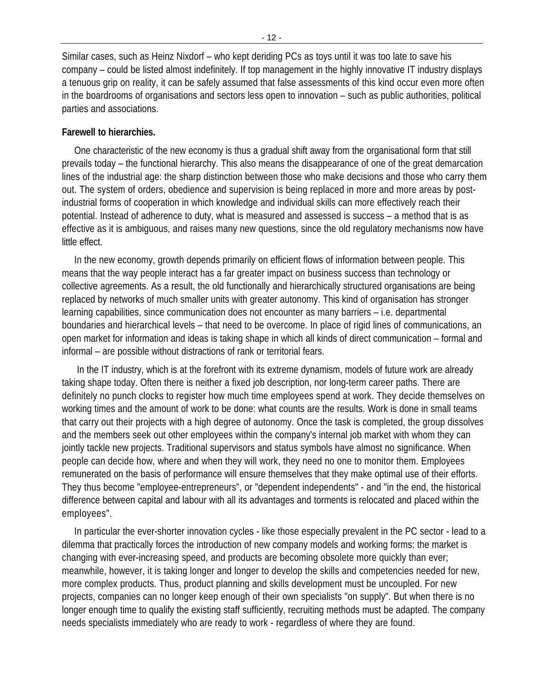Similar cases, such as Heinz Nixdorf – who kept deriding PCs as toys until it was too late to save his company – could be listed almost indefinitely. If top management in the highly innovative IT industry displays a tenuous grip on reality, it can be safely assumed that false assessments of this kind occur even more often in the boardrooms of organisations and sectors less open to innovation – such as public authorities, political parties and associations.

### **Farewell to hierarchies.**

One characteristic of the new economy is thus a gradual shift away from the organisational form that still prevails today – the functional hierarchy. This also means the disappearance of one of the great demarcation lines of the industrial age: the sharp distinction between those who make decisions and those who carry them out. The system of orders, obedience and supervision is being replaced in more and more areas by postindustrial forms of cooperation in which knowledge and individual skills can more effectively reach their potential. Instead of adherence to duty, what is measured and assessed is success – a method that is as effective as it is ambiguous, and raises many new questions, since the old regulatory mechanisms now have little effect.

In the new economy, growth depends primarily on efficient flows of information between people. This means that the way people interact has a far greater impact on business success than technology or collective agreements. As a result, the old functionally and hierarchically structured organisations are being replaced by networks of much smaller units with greater autonomy. This kind of organisation has stronger learning capabilities, since communication does not encounter as many barriers – i.e. departmental boundaries and hierarchical levels – that need to be overcome. In place of rigid lines of communications, an open market for information and ideas is taking shape in which all kinds of direct communication – formal and informal – are possible without distractions of rank or territorial fears.

 In the IT industry, which is at the forefront with its extreme dynamism, models of future work are already taking shape today. Often there is neither a fixed job description, nor long-term career paths. There are definitely no punch clocks to register how much time employees spend at work. They decide themselves on working times and the amount of work to be done: what counts are the results. Work is done in small teams that carry out their projects with a high degree of autonomy. Once the task is completed, the group dissolves and the members seek out other employees within the company's internal job market with whom they can jointly tackle new projects. Traditional supervisors and status symbols have almost no significance. When people can decide how, where and when they will work, they need no one to monitor them. Employees remunerated on the basis of performance will ensure themselves that they make optimal use of their efforts. They thus become "employee-entrepreneurs", or "dependent independents" - and "in the end, the historical difference between capital and labour with all its advantages and torments is relocated and placed within the employees".

In particular the ever-shorter innovation cycles - like those especially prevalent in the PC sector - lead to a dilemma that practically forces the introduction of new company models and working forms: the market is changing with ever-increasing speed, and products are becoming obsolete more quickly than ever; meanwhile, however, it is taking longer and longer to develop the skills and competencies needed for new, more complex products. Thus, product planning and skills development must be uncoupled. For new projects, companies can no longer keep enough of their own specialists "on supply". But when there is no longer enough time to qualify the existing staff sufficiently, recruiting methods must be adapted. The company needs specialists immediately who are ready to work - regardless of where they are found.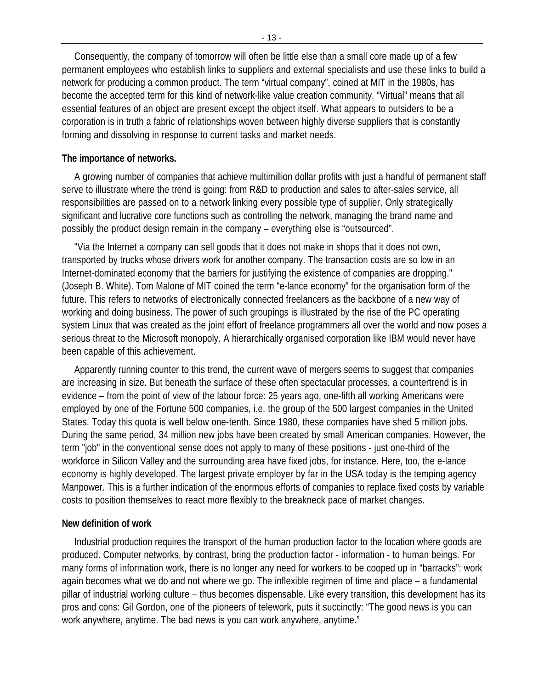Consequently, the company of tomorrow will often be little else than a small core made up of a few permanent employees who establish links to suppliers and external specialists and use these links to build a network for producing a common product. The term "virtual company", coined at MIT in the 1980s, has become the accepted term for this kind of network-like value creation community. "Virtual" means that all essential features of an object are present except the object itself. What appears to outsiders to be a corporation is in truth a fabric of relationships woven between highly diverse suppliers that is constantly forming and dissolving in response to current tasks and market needs.

# **The importance of networks.**

A growing number of companies that achieve multimillion dollar profits with just a handful of permanent staff serve to illustrate where the trend is going: from R&D to production and sales to after-sales service, all responsibilities are passed on to a network linking every possible type of supplier. Only strategically significant and lucrative core functions such as controlling the network, managing the brand name and possibly the product design remain in the company – everything else is "outsourced".

"Via the Internet a company can sell goods that it does not make in shops that it does not own, transported by trucks whose drivers work for another company. The transaction costs are so low in an Internet-dominated economy that the barriers for justifying the existence of companies are dropping." (Joseph B. White). Tom Malone of MIT coined the term "e-lance economy" for the organisation form of the future. This refers to networks of electronically connected freelancers as the backbone of a new way of working and doing business. The power of such groupings is illustrated by the rise of the PC operating system Linux that was created as the joint effort of freelance programmers all over the world and now poses a serious threat to the Microsoft monopoly. A hierarchically organised corporation like IBM would never have been capable of this achievement.

Apparently running counter to this trend, the current wave of mergers seems to suggest that companies are increasing in size. But beneath the surface of these often spectacular processes, a countertrend is in evidence – from the point of view of the labour force: 25 years ago, one-fifth all working Americans were employed by one of the Fortune 500 companies, i.e. the group of the 500 largest companies in the United States. Today this quota is well below one-tenth. Since 1980, these companies have shed 5 million jobs. During the same period, 34 million new jobs have been created by small American companies. However, the term "job" in the conventional sense does not apply to many of these positions - just one-third of the workforce in Silicon Valley and the surrounding area have fixed jobs, for instance. Here, too, the e-lance economy is highly developed. The largest private employer by far in the USA today is the temping agency Manpower. This is a further indication of the enormous efforts of companies to replace fixed costs by variable costs to position themselves to react more flexibly to the breakneck pace of market changes.

# **New definition of work**

Industrial production requires the transport of the human production factor to the location where goods are produced. Computer networks, by contrast, bring the production factor - information - to human beings. For many forms of information work, there is no longer any need for workers to be cooped up in "barracks": work again becomes what we do and not where we go. The inflexible regimen of time and place – a fundamental pillar of industrial working culture – thus becomes dispensable. Like every transition, this development has its pros and cons: Gil Gordon, one of the pioneers of telework, puts it succinctly: "The good news is you can work anywhere, anytime. The bad news is you can work anywhere, anytime."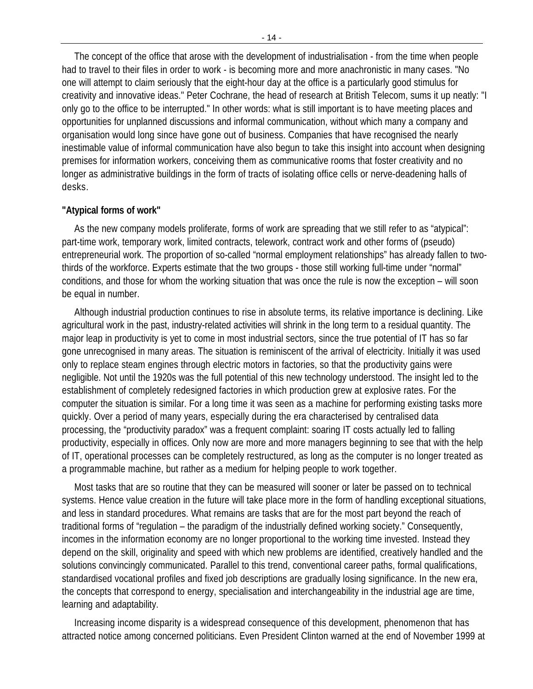The concept of the office that arose with the development of industrialisation - from the time when people had to travel to their files in order to work - is becoming more and more anachronistic in many cases. "No one will attempt to claim seriously that the eight-hour day at the office is a particularly good stimulus for creativity and innovative ideas." Peter Cochrane, the head of research at British Telecom, sums it up neatly: "I only go to the office to be interrupted." In other words: what is still important is to have meeting places and opportunities for unplanned discussions and informal communication, without which many a company and organisation would long since have gone out of business. Companies that have recognised the nearly inestimable value of informal communication have also begun to take this insight into account when designing premises for information workers, conceiving them as communicative rooms that foster creativity and no longer as administrative buildings in the form of tracts of isolating office cells or nerve-deadening halls of desks.

#### **"Atypical forms of work"**

As the new company models proliferate, forms of work are spreading that we still refer to as "atypical": part-time work, temporary work, limited contracts, telework, contract work and other forms of (pseudo) entrepreneurial work. The proportion of so-called "normal employment relationships" has already fallen to twothirds of the workforce. Experts estimate that the two groups - those still working full-time under "normal" conditions, and those for whom the working situation that was once the rule is now the exception – will soon be equal in number.

Although industrial production continues to rise in absolute terms, its relative importance is declining. Like agricultural work in the past, industry-related activities will shrink in the long term to a residual quantity. The major leap in productivity is yet to come in most industrial sectors, since the true potential of IT has so far gone unrecognised in many areas. The situation is reminiscent of the arrival of electricity. Initially it was used only to replace steam engines through electric motors in factories, so that the productivity gains were negligible. Not until the 1920s was the full potential of this new technology understood. The insight led to the establishment of completely redesigned factories in which production grew at explosive rates. For the computer the situation is similar. For a long time it was seen as a machine for performing existing tasks more quickly. Over a period of many years, especially during the era characterised by centralised data processing, the "productivity paradox" was a frequent complaint: soaring IT costs actually led to falling productivity, especially in offices. Only now are more and more managers beginning to see that with the help of IT, operational processes can be completely restructured, as long as the computer is no longer treated as a programmable machine, but rather as a medium for helping people to work together.

Most tasks that are so routine that they can be measured will sooner or later be passed on to technical systems. Hence value creation in the future will take place more in the form of handling exceptional situations, and less in standard procedures. What remains are tasks that are for the most part beyond the reach of traditional forms of "regulation – the paradigm of the industrially defined working society." Consequently, incomes in the information economy are no longer proportional to the working time invested. Instead they depend on the skill, originality and speed with which new problems are identified, creatively handled and the solutions convincingly communicated. Parallel to this trend, conventional career paths, formal qualifications, standardised vocational profiles and fixed job descriptions are gradually losing significance. In the new era, the concepts that correspond to energy, specialisation and interchangeability in the industrial age are time, learning and adaptability.

Increasing income disparity is a widespread consequence of this development, phenomenon that has attracted notice among concerned politicians. Even President Clinton warned at the end of November 1999 at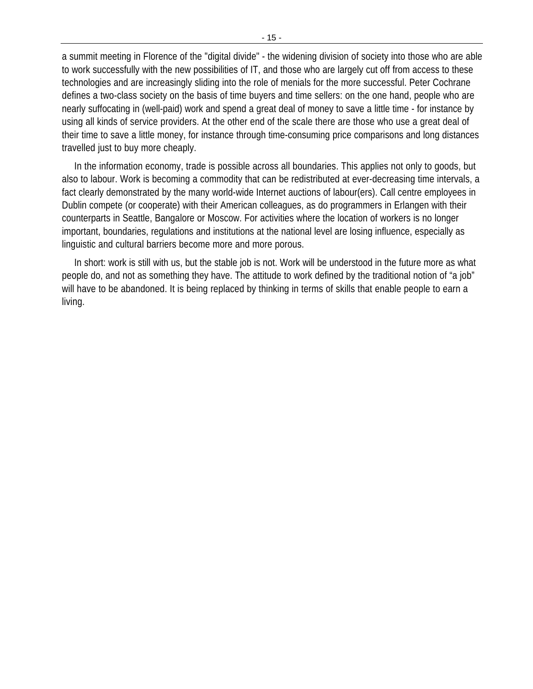a summit meeting in Florence of the "digital divide" - the widening division of society into those who are able to work successfully with the new possibilities of IT, and those who are largely cut off from access to these technologies and are increasingly sliding into the role of menials for the more successful. Peter Cochrane defines a two-class society on the basis of time buyers and time sellers: on the one hand, people who are nearly suffocating in (well-paid) work and spend a great deal of money to save a little time - for instance by using all kinds of service providers. At the other end of the scale there are those who use a great deal of their time to save a little money, for instance through time-consuming price comparisons and long distances travelled just to buy more cheaply.

In the information economy, trade is possible across all boundaries. This applies not only to goods, but also to labour. Work is becoming a commodity that can be redistributed at ever-decreasing time intervals, a fact clearly demonstrated by the many world-wide Internet auctions of labour(ers). Call centre employees in Dublin compete (or cooperate) with their American colleagues, as do programmers in Erlangen with their counterparts in Seattle, Bangalore or Moscow. For activities where the location of workers is no longer important, boundaries, regulations and institutions at the national level are losing influence, especially as linguistic and cultural barriers become more and more porous.

In short: work is still with us, but the stable job is not. Work will be understood in the future more as what people do, and not as something they have. The attitude to work defined by the traditional notion of "a job" will have to be abandoned. It is being replaced by thinking in terms of skills that enable people to earn a living.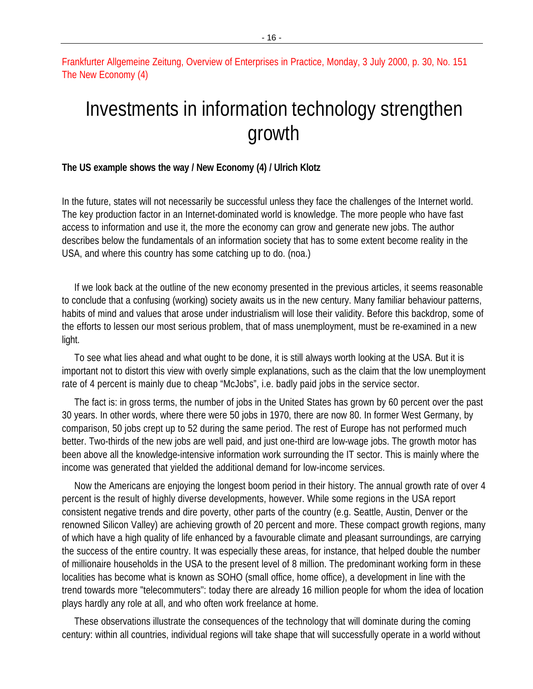Frankfurter Allgemeine Zeitung, Overview of Enterprises in Practice, Monday, 3 July 2000, p. 30, No. 151 The New Economy (4)

# Investments in information technology strengthen growth

#### **The US example shows the way / New Economy (4) / Ulrich Klotz**

In the future, states will not necessarily be successful unless they face the challenges of the Internet world. The key production factor in an Internet-dominated world is knowledge. The more people who have fast access to information and use it, the more the economy can grow and generate new jobs. The author describes below the fundamentals of an information society that has to some extent become reality in the USA, and where this country has some catching up to do. (noa.)

If we look back at the outline of the new economy presented in the previous articles, it seems reasonable to conclude that a confusing (working) society awaits us in the new century. Many familiar behaviour patterns, habits of mind and values that arose under industrialism will lose their validity. Before this backdrop, some of the efforts to lessen our most serious problem, that of mass unemployment, must be re-examined in a new light.

To see what lies ahead and what ought to be done, it is still always worth looking at the USA. But it is important not to distort this view with overly simple explanations, such as the claim that the low unemployment rate of 4 percent is mainly due to cheap "McJobs", i.e. badly paid jobs in the service sector.

The fact is: in gross terms, the number of jobs in the United States has grown by 60 percent over the past 30 years. In other words, where there were 50 jobs in 1970, there are now 80. In former West Germany, by comparison, 50 jobs crept up to 52 during the same period. The rest of Europe has not performed much better. Two-thirds of the new jobs are well paid, and just one-third are low-wage jobs. The growth motor has been above all the knowledge-intensive information work surrounding the IT sector. This is mainly where the income was generated that yielded the additional demand for low-income services.

Now the Americans are enjoying the longest boom period in their history. The annual growth rate of over 4 percent is the result of highly diverse developments, however. While some regions in the USA report consistent negative trends and dire poverty, other parts of the country (e.g. Seattle, Austin, Denver or the renowned Silicon Valley) are achieving growth of 20 percent and more. These compact growth regions, many of which have a high quality of life enhanced by a favourable climate and pleasant surroundings, are carrying the success of the entire country. It was especially these areas, for instance, that helped double the number of millionaire households in the USA to the present level of 8 million. The predominant working form in these localities has become what is known as SOHO (small office, home office), a development in line with the trend towards more "telecommuters": today there are already 16 million people for whom the idea of location plays hardly any role at all, and who often work freelance at home.

These observations illustrate the consequences of the technology that will dominate during the coming century: within all countries, individual regions will take shape that will successfully operate in a world without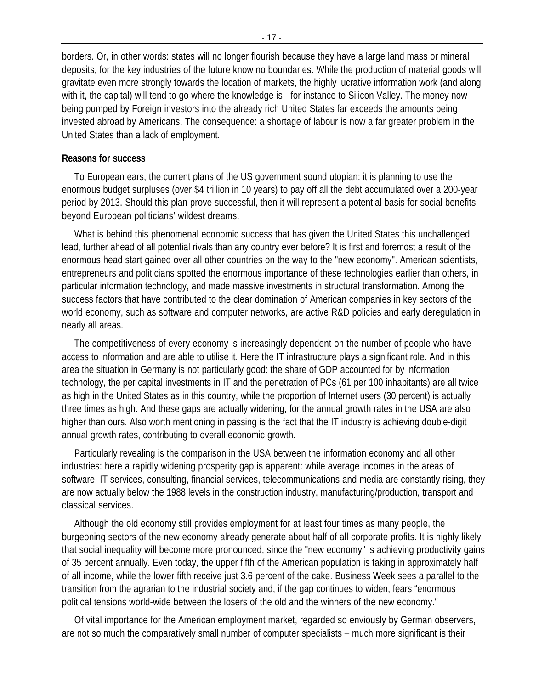borders. Or, in other words: states will no longer flourish because they have a large land mass or mineral deposits, for the key industries of the future know no boundaries. While the production of material goods will gravitate even more strongly towards the location of markets, the highly lucrative information work (and along with it, the capital) will tend to go where the knowledge is - for instance to Silicon Valley. The money now being pumped by Foreign investors into the already rich United States far exceeds the amounts being invested abroad by Americans. The consequence: a shortage of labour is now a far greater problem in the United States than a lack of employment.

#### **Reasons for success**

To European ears, the current plans of the US government sound utopian: it is planning to use the enormous budget surpluses (over \$4 trillion in 10 years) to pay off all the debt accumulated over a 200-year period by 2013. Should this plan prove successful, then it will represent a potential basis for social benefits beyond European politicians' wildest dreams.

What is behind this phenomenal economic success that has given the United States this unchallenged lead, further ahead of all potential rivals than any country ever before? It is first and foremost a result of the enormous head start gained over all other countries on the way to the "new economy". American scientists, entrepreneurs and politicians spotted the enormous importance of these technologies earlier than others, in particular information technology, and made massive investments in structural transformation. Among the success factors that have contributed to the clear domination of American companies in key sectors of the world economy, such as software and computer networks, are active R&D policies and early deregulation in nearly all areas.

The competitiveness of every economy is increasingly dependent on the number of people who have access to information and are able to utilise it. Here the IT infrastructure plays a significant role. And in this area the situation in Germany is not particularly good: the share of GDP accounted for by information technology, the per capital investments in IT and the penetration of PCs (61 per 100 inhabitants) are all twice as high in the United States as in this country, while the proportion of Internet users (30 percent) is actually three times as high. And these gaps are actually widening, for the annual growth rates in the USA are also higher than ours. Also worth mentioning in passing is the fact that the IT industry is achieving double-digit annual growth rates, contributing to overall economic growth.

Particularly revealing is the comparison in the USA between the information economy and all other industries: here a rapidly widening prosperity gap is apparent: while average incomes in the areas of software, IT services, consulting, financial services, telecommunications and media are constantly rising, they are now actually below the 1988 levels in the construction industry, manufacturing/production, transport and classical services.

Although the old economy still provides employment for at least four times as many people, the burgeoning sectors of the new economy already generate about half of all corporate profits. It is highly likely that social inequality will become more pronounced, since the "new economy" is achieving productivity gains of 35 percent annually. Even today, the upper fifth of the American population is taking in approximately half of all income, while the lower fifth receive just 3.6 percent of the cake. Business Week sees a parallel to the transition from the agrarian to the industrial society and, if the gap continues to widen, fears "enormous political tensions world-wide between the losers of the old and the winners of the new economy."

Of vital importance for the American employment market, regarded so enviously by German observers, are not so much the comparatively small number of computer specialists – much more significant is their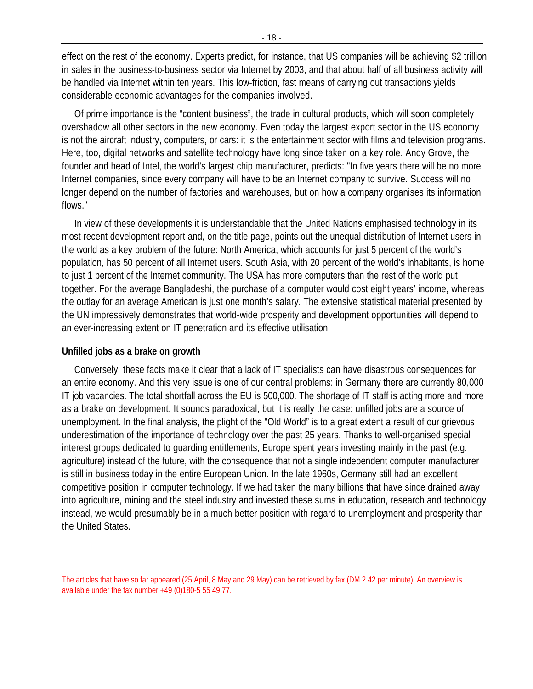effect on the rest of the economy. Experts predict, for instance, that US companies will be achieving \$2 trillion in sales in the business-to-business sector via Internet by 2003, and that about half of all business activity will be handled via Internet within ten years. This low-friction, fast means of carrying out transactions yields considerable economic advantages for the companies involved.

Of prime importance is the "content business", the trade in cultural products, which will soon completely overshadow all other sectors in the new economy. Even today the largest export sector in the US economy is not the aircraft industry, computers, or cars: it is the entertainment sector with films and television programs. Here, too, digital networks and satellite technology have long since taken on a key role. Andy Grove, the founder and head of Intel, the world's largest chip manufacturer, predicts: "In five years there will be no more Internet companies, since every company will have to be an Internet company to survive. Success will no longer depend on the number of factories and warehouses, but on how a company organises its information flows."

In view of these developments it is understandable that the United Nations emphasised technology in its most recent development report and, on the title page, points out the unequal distribution of Internet users in the world as a key problem of the future: North America, which accounts for just 5 percent of the world's population, has 50 percent of all Internet users. South Asia, with 20 percent of the world's inhabitants, is home to just 1 percent of the Internet community. The USA has more computers than the rest of the world put together. For the average Bangladeshi, the purchase of a computer would cost eight years' income, whereas the outlay for an average American is just one month's salary. The extensive statistical material presented by the UN impressively demonstrates that world-wide prosperity and development opportunities will depend to an ever-increasing extent on IT penetration and its effective utilisation.

### **Unfilled jobs as a brake on growth**

Conversely, these facts make it clear that a lack of IT specialists can have disastrous consequences for an entire economy. And this very issue is one of our central problems: in Germany there are currently 80,000 IT job vacancies. The total shortfall across the EU is 500,000. The shortage of IT staff is acting more and more as a brake on development. It sounds paradoxical, but it is really the case: unfilled jobs are a source of unemployment. In the final analysis, the plight of the "Old World" is to a great extent a result of our grievous underestimation of the importance of technology over the past 25 years. Thanks to well-organised special interest groups dedicated to guarding entitlements, Europe spent years investing mainly in the past (e.g. agriculture) instead of the future, with the consequence that not a single independent computer manufacturer is still in business today in the entire European Union. In the late 1960s, Germany still had an excellent competitive position in computer technology. If we had taken the many billions that have since drained away into agriculture, mining and the steel industry and invested these sums in education, research and technology instead, we would presumably be in a much better position with regard to unemployment and prosperity than the United States.

The articles that have so far appeared (25 April, 8 May and 29 May) can be retrieved by fax (DM 2.42 per minute). An overview is available under the fax number +49 (0)180-5 55 49 77.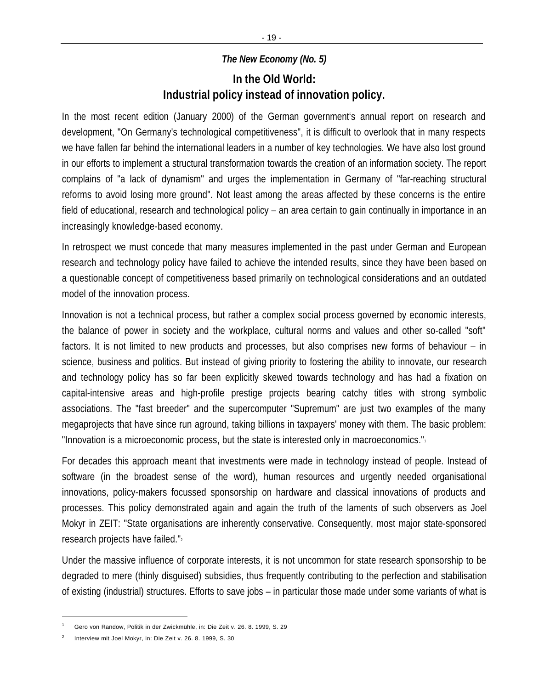# *The New Economy (No. 5)*

# **In the Old World: Industrial policy instead of innovation policy.**

In the most recent edition (January 2000) of the German government's annual report on research and development, "On Germany's technological competitiveness", it is difficult to overlook that in many respects we have fallen far behind the international leaders in a number of key technologies. We have also lost ground in our efforts to implement a structural transformation towards the creation of an information society. The report complains of "a lack of dynamism" and urges the implementation in Germany of "far-reaching structural reforms to avoid losing more ground". Not least among the areas affected by these concerns is the entire field of educational, research and technological policy – an area certain to gain continually in importance in an increasingly knowledge-based economy.

In retrospect we must concede that many measures implemented in the past under German and European research and technology policy have failed to achieve the intended results, since they have been based on a questionable concept of competitiveness based primarily on technological considerations and an outdated model of the innovation process.

Innovation is not a technical process, but rather a complex social process governed by economic interests, the balance of power in society and the workplace, cultural norms and values and other so-called "soft" factors. It is not limited to new products and processes, but also comprises new forms of behaviour – in science, business and politics. But instead of giving priority to fostering the ability to innovate, our research and technology policy has so far been explicitly skewed towards technology and has had a fixation on capital-intensive areas and high-profile prestige projects bearing catchy titles with strong symbolic associations. The "fast breeder" and the supercomputer "Supremum" are just two examples of the many megaprojects that have since run aground, taking billions in taxpayers' money with them. The basic problem: "Innovation is a microeconomic process, but the state is interested only in macroeconomics."<sup>1</sup>

For decades this approach meant that investments were made in technology instead of people. Instead of software (in the broadest sense of the word), human resources and urgently needed organisational innovations, policy-makers focussed sponsorship on hardware and classical innovations of products and processes. This policy demonstrated again and again the truth of the laments of such observers as Joel Mokyr in ZEIT: "State organisations are inherently conservative. Consequently, most major state-sponsored research projects have failed."<sup>2</sup>

Under the massive influence of corporate interests, it is not uncommon for state research sponsorship to be degraded to mere (thinly disguised) subsidies, thus frequently contributing to the perfection and stabilisation of existing (industrial) structures. Efforts to save jobs – in particular those made under some variants of what is

<sup>1</sup> Gero von Randow, Politik in der Zwickmühle, in: Die Zeit v. 26. 8. 1999, S. 29

<sup>2</sup> Interview mit Joel Mokyr, in: Die Zeit v. 26. 8. 1999, S. 30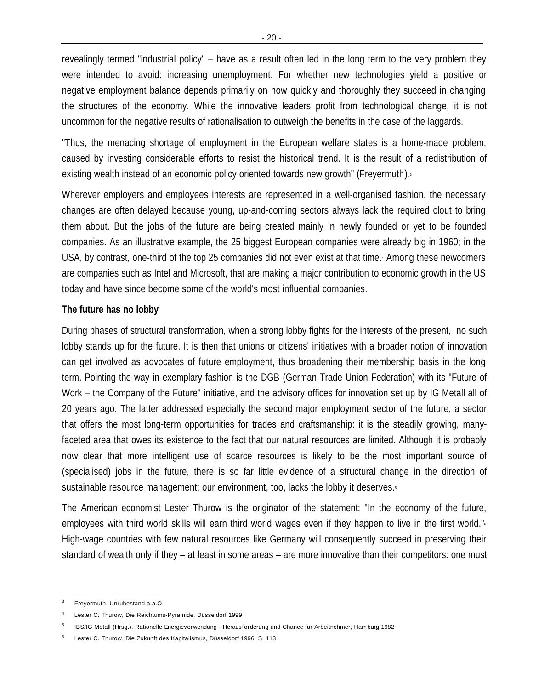revealingly termed "industrial policy" – have as a result often led in the long term to the very problem they were intended to avoid: increasing unemployment. For whether new technologies yield a positive or negative employment balance depends primarily on how quickly and thoroughly they succeed in changing the structures of the economy. While the innovative leaders profit from technological change, it is not uncommon for the negative results of rationalisation to outweigh the benefits in the case of the laggards.

"Thus, the menacing shortage of employment in the European welfare states is a home-made problem, caused by investing considerable efforts to resist the historical trend. It is the result of a redistribution of existing wealth instead of an economic policy oriented towards new growth" (Freyermuth).<sup>3</sup>

Wherever employers and employees interests are represented in a well-organised fashion, the necessary changes are often delayed because young, up-and-coming sectors always lack the required clout to bring them about. But the jobs of the future are being created mainly in newly founded or yet to be founded companies. As an illustrative example, the 25 biggest European companies were already big in 1960; in the USA, by contrast, one-third of the top 25 companies did not even exist at that time.<sup>4</sup> Among these newcomers are companies such as Intel and Microsoft, that are making a major contribution to economic growth in the US today and have since become some of the world's most influential companies.

# **The future has no lobby**

During phases of structural transformation, when a strong lobby fights for the interests of the present, no such lobby stands up for the future. It is then that unions or citizens' initiatives with a broader notion of innovation can get involved as advocates of future employment, thus broadening their membership basis in the long term. Pointing the way in exemplary fashion is the DGB (German Trade Union Federation) with its "Future of Work – the Company of the Future" initiative, and the advisory offices for innovation set up by IG Metall all of 20 years ago. The latter addressed especially the second major employment sector of the future, a sector that offers the most long-term opportunities for trades and craftsmanship: it is the steadily growing, manyfaceted area that owes its existence to the fact that our natural resources are limited. Although it is probably now clear that more intelligent use of scarce resources is likely to be the most important source of (specialised) jobs in the future, there is so far little evidence of a structural change in the direction of sustainable resource management: our environment, too, lacks the lobby it deserves.<sup>5</sup>

The American economist Lester Thurow is the originator of the statement: "In the economy of the future, employees with third world skills will earn third world wages even if they happen to live in the first world."<sup>6</sup> High-wage countries with few natural resources like Germany will consequently succeed in preserving their standard of wealth only if they – at least in some areas – are more innovative than their competitors: one must

<sup>3</sup> Freyermuth, Unruhestand a.a.O.

<sup>4</sup> Lester C. Thurow, Die Reichtums-Pyramide, Düsseldorf 1999

<sup>5</sup> IBS/IG Metall (Hrsg.), Rationelle Energieverwendung - Herausforderung und Chance für Arbeitnehmer, Hamburg 1982

<sup>6</sup> Lester C. Thurow, Die Zukunft des Kapitalismus, Düsseldorf 1996, S. 113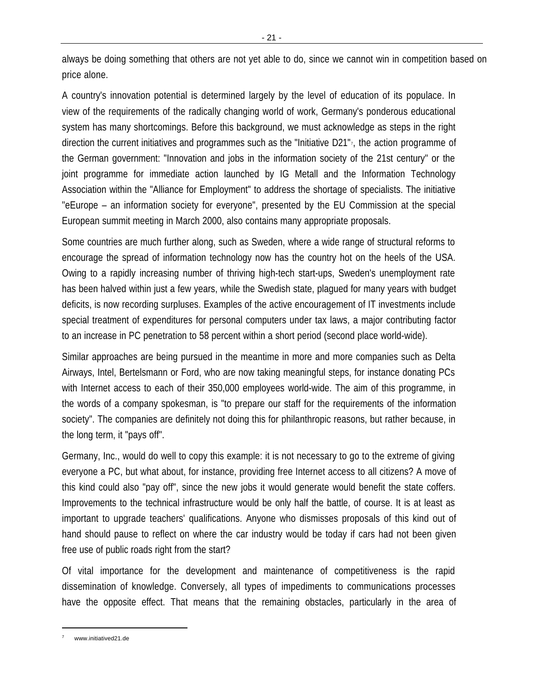always be doing something that others are not yet able to do, since we cannot win in competition based on price alone.

A country's innovation potential is determined largely by the level of education of its populace. In view of the requirements of the radically changing world of work, Germany's ponderous educational system has many shortcomings. Before this background, we must acknowledge as steps in the right direction the current initiatives and programmes such as the "Initiative D21" $_7$ , the action programme of the German government: "Innovation and jobs in the information society of the 21st century" or the joint programme for immediate action launched by IG Metall and the Information Technology Association within the "Alliance for Employment" to address the shortage of specialists. The initiative "eEurope – an information society for everyone", presented by the EU Commission at the special European summit meeting in March 2000, also contains many appropriate proposals.

Some countries are much further along, such as Sweden, where a wide range of structural reforms to encourage the spread of information technology now has the country hot on the heels of the USA. Owing to a rapidly increasing number of thriving high-tech start-ups, Sweden's unemployment rate has been halved within just a few years, while the Swedish state, plagued for many years with budget deficits, is now recording surpluses. Examples of the active encouragement of IT investments include special treatment of expenditures for personal computers under tax laws, a major contributing factor to an increase in PC penetration to 58 percent within a short period (second place world-wide).

Similar approaches are being pursued in the meantime in more and more companies such as Delta Airways, Intel, Bertelsmann or Ford, who are now taking meaningful steps, for instance donating PCs with Internet access to each of their 350,000 employees world-wide. The aim of this programme, in the words of a company spokesman, is "to prepare our staff for the requirements of the information society". The companies are definitely not doing this for philanthropic reasons, but rather because, in the long term, it "pays off".

Germany, Inc., would do well to copy this example: it is not necessary to go to the extreme of giving everyone a PC, but what about, for instance, providing free Internet access to all citizens? A move of this kind could also "pay off", since the new jobs it would generate would benefit the state coffers. Improvements to the technical infrastructure would be only half the battle, of course. It is at least as important to upgrade teachers' qualifications. Anyone who dismisses proposals of this kind out of hand should pause to reflect on where the car industry would be today if cars had not been given free use of public roads right from the start?

Of vital importance for the development and maintenance of competitiveness is the rapid dissemination of knowledge. Conversely, all types of impediments to communications processes have the opposite effect. That means that the remaining obstacles, particularly in the area of

www.initiatived21.de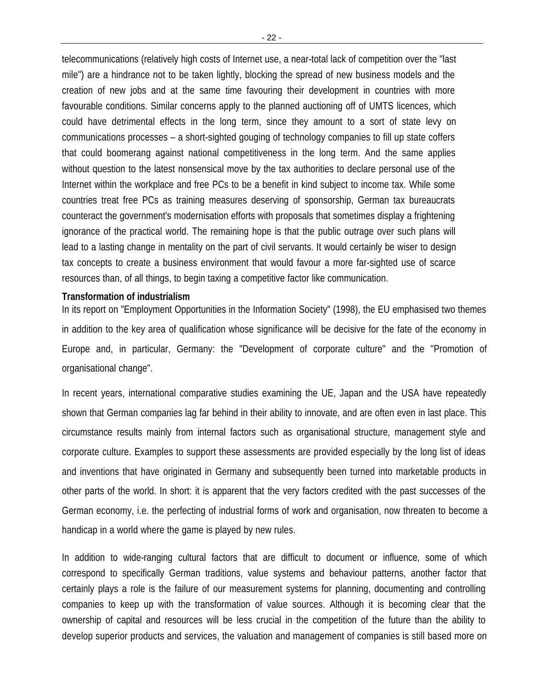telecommunications (relatively high costs of Internet use, a near-total lack of competition over the "last mile") are a hindrance not to be taken lightly, blocking the spread of new business models and the creation of new jobs and at the same time favouring their development in countries with more favourable conditions. Similar concerns apply to the planned auctioning off of UMTS licences, which could have detrimental effects in the long term, since they amount to a sort of state levy on communications processes – a short-sighted gouging of technology companies to fill up state coffers that could boomerang against national competitiveness in the long term. And the same applies without question to the latest nonsensical move by the tax authorities to declare personal use of the Internet within the workplace and free PCs to be a benefit in kind subject to income tax. While some countries treat free PCs as training measures deserving of sponsorship, German tax bureaucrats counteract the government's modernisation efforts with proposals that sometimes display a frightening ignorance of the practical world. The remaining hope is that the public outrage over such plans will lead to a lasting change in mentality on the part of civil servants. It would certainly be wiser to design tax concepts to create a business environment that would favour a more far-sighted use of scarce resources than, of all things, to begin taxing a competitive factor like communication.

#### **Transformation of industrialism**

In its report on "Employment Opportunities in the Information Society" (1998), the EU emphasised two themes in addition to the key area of qualification whose significance will be decisive for the fate of the economy in Europe and, in particular, Germany: the "Development of corporate culture" and the "Promotion of organisational change".

In recent years, international comparative studies examining the UE, Japan and the USA have repeatedly shown that German companies lag far behind in their ability to innovate, and are often even in last place. This circumstance results mainly from internal factors such as organisational structure, management style and corporate culture. Examples to support these assessments are provided especially by the long list of ideas and inventions that have originated in Germany and subsequently been turned into marketable products in other parts of the world. In short: it is apparent that the very factors credited with the past successes of the German economy, i.e. the perfecting of industrial forms of work and organisation, now threaten to become a handicap in a world where the game is played by new rules.

In addition to wide-ranging cultural factors that are difficult to document or influence, some of which correspond to specifically German traditions, value systems and behaviour patterns, another factor that certainly plays a role is the failure of our measurement systems for planning, documenting and controlling companies to keep up with the transformation of value sources. Although it is becoming clear that the ownership of capital and resources will be less crucial in the competition of the future than the ability to develop superior products and services, the valuation and management of companies is still based more on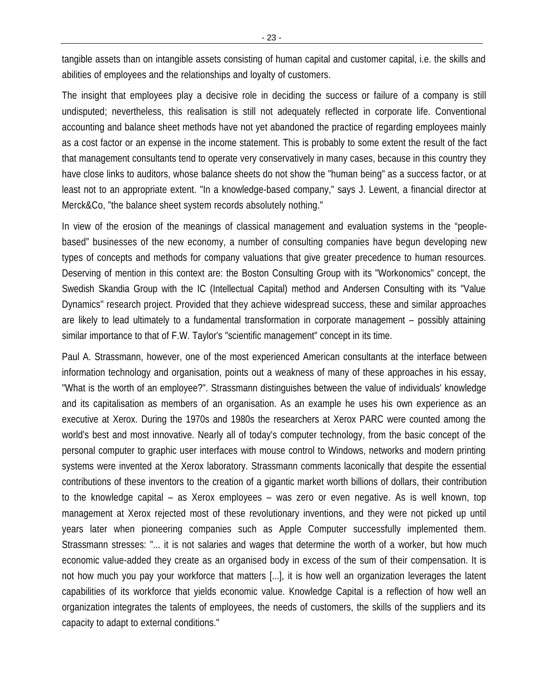tangible assets than on intangible assets consisting of human capital and customer capital, i.e. the skills and abilities of employees and the relationships and loyalty of customers.

The insight that employees play a decisive role in deciding the success or failure of a company is still undisputed; nevertheless, this realisation is still not adequately reflected in corporate life. Conventional accounting and balance sheet methods have not yet abandoned the practice of regarding employees mainly as a cost factor or an expense in the income statement. This is probably to some extent the result of the fact that management consultants tend to operate very conservatively in many cases, because in this country they have close links to auditors, whose balance sheets do not show the "human being" as a success factor, or at least not to an appropriate extent. "In a knowledge-based company," says J. Lewent, a financial director at Merck&Co, "the balance sheet system records absolutely nothing."

In view of the erosion of the meanings of classical management and evaluation systems in the "peoplebased" businesses of the new economy, a number of consulting companies have begun developing new types of concepts and methods for company valuations that give greater precedence to human resources. Deserving of mention in this context are: the Boston Consulting Group with its "Workonomics" concept, the Swedish Skandia Group with the IC (Intellectual Capital) method and Andersen Consulting with its "Value Dynamics" research project. Provided that they achieve widespread success, these and similar approaches are likely to lead ultimately to a fundamental transformation in corporate management – possibly attaining similar importance to that of F.W. Taylor's "scientific management" concept in its time.

Paul A. Strassmann, however, one of the most experienced American consultants at the interface between information technology and organisation, points out a weakness of many of these approaches in his essay, "What is the worth of an employee?". Strassmann distinguishes between the value of individuals' knowledge and its capitalisation as members of an organisation. As an example he uses his own experience as an executive at Xerox. During the 1970s and 1980s the researchers at Xerox PARC were counted among the world's best and most innovative. Nearly all of today's computer technology, from the basic concept of the personal computer to graphic user interfaces with mouse control to Windows, networks and modern printing systems were invented at the Xerox laboratory. Strassmann comments laconically that despite the essential contributions of these inventors to the creation of a gigantic market worth billions of dollars, their contribution to the knowledge capital – as Xerox employees – was zero or even negative. As is well known, top management at Xerox rejected most of these revolutionary inventions, and they were not picked up until years later when pioneering companies such as Apple Computer successfully implemented them. Strassmann stresses: "... it is not salaries and wages that determine the worth of a worker, but how much economic value-added they create as an organised body in excess of the sum of their compensation. It is not how much you pay your workforce that matters [...], it is how well an organization leverages the latent capabilities of its workforce that yields economic value. Knowledge Capital is a reflection of how well an organization integrates the talents of employees, the needs of customers, the skills of the suppliers and its capacity to adapt to external conditions."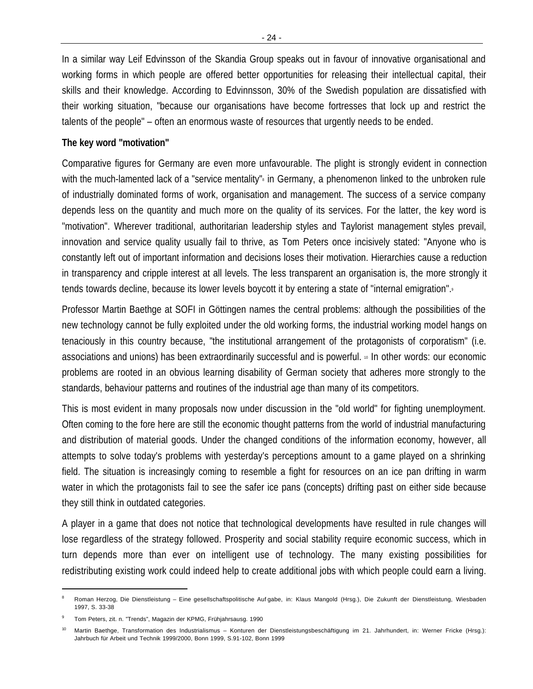In a similar way Leif Edvinsson of the Skandia Group speaks out in favour of innovative organisational and working forms in which people are offered better opportunities for releasing their intellectual capital, their skills and their knowledge. According to Edvinnsson, 30% of the Swedish population are dissatisfied with their working situation, "because our organisations have become fortresses that lock up and restrict the talents of the people" – often an enormous waste of resources that urgently needs to be ended.

# **The key word "motivation"**

Comparative figures for Germany are even more unfavourable. The plight is strongly evident in connection with the much-lamented lack of a "service mentality" in Germany, a phenomenon linked to the unbroken rule of industrially dominated forms of work, organisation and management. The success of a service company depends less on the quantity and much more on the quality of its services. For the latter, the key word is "motivation". Wherever traditional, authoritarian leadership styles and Taylorist management styles prevail, innovation and service quality usually fail to thrive, as Tom Peters once incisively stated: "Anyone who is constantly left out of important information and decisions loses their motivation. Hierarchies cause a reduction in transparency and cripple interest at all levels. The less transparent an organisation is, the more strongly it tends towards decline, because its lower levels boycott it by entering a state of "internal emigration".

Professor Martin Baethge at SOFI in Göttingen names the central problems: although the possibilities of the new technology cannot be fully exploited under the old working forms, the industrial working model hangs on tenaciously in this country because, "the institutional arrangement of the protagonists of corporatism" (i.e. associations and unions) has been extraordinarily successful and is powerful.  $\cdot \cdot$  In other words: our economic problems are rooted in an obvious learning disability of German society that adheres more strongly to the standards, behaviour patterns and routines of the industrial age than many of its competitors.

This is most evident in many proposals now under discussion in the "old world" for fighting unemployment. Often coming to the fore here are still the economic thought patterns from the world of industrial manufacturing and distribution of material goods. Under the changed conditions of the information economy, however, all attempts to solve today's problems with yesterday's perceptions amount to a game played on a shrinking field. The situation is increasingly coming to resemble a fight for resources on an ice pan drifting in warm water in which the protagonists fail to see the safer ice pans (concepts) drifting past on either side because they still think in outdated categories.

A player in a game that does not notice that technological developments have resulted in rule changes will lose regardless of the strategy followed. Prosperity and social stability require economic success, which in turn depends more than ever on intelligent use of technology. The many existing possibilities for redistributing existing work could indeed help to create additional jobs with which people could earn a living.

<sup>8</sup> Roman Herzog, Die Dienstleistung – Eine gesellschaftspolitische Auf gabe, in: Klaus Mangold (Hrsg.), Die Zukunft der Dienstleistung, Wiesbaden 1997, S. 33-38

<sup>9</sup> Tom Peters, zit. n. "Trends", Magazin der KPMG, Frühjahrsausg. 1990

<sup>10</sup> Martin Baethge, Transformation des Industrialismus – Konturen der Dienstleistungsbeschäftigung im 21. Jahrhundert, in: Werner Fricke (Hrsg.): Jahrbuch für Arbeit und Technik 1999/2000, Bonn 1999, S.91-102, Bonn 1999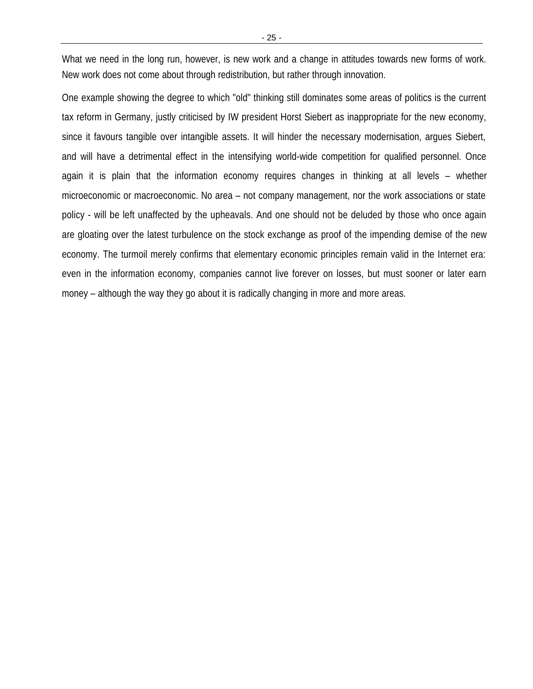What we need in the long run, however, is new work and a change in attitudes towards new forms of work. New work does not come about through redistribution, but rather through innovation.

One example showing the degree to which "old" thinking still dominates some areas of politics is the current tax reform in Germany, justly criticised by IW president Horst Siebert as inappropriate for the new economy, since it favours tangible over intangible assets. It will hinder the necessary modernisation, argues Siebert, and will have a detrimental effect in the intensifying world-wide competition for qualified personnel. Once again it is plain that the information economy requires changes in thinking at all levels – whether microeconomic or macroeconomic. No area – not company management, nor the work associations or state policy - will be left unaffected by the upheavals. And one should not be deluded by those who once again are gloating over the latest turbulence on the stock exchange as proof of the impending demise of the new economy. The turmoil merely confirms that elementary economic principles remain valid in the Internet era: even in the information economy, companies cannot live forever on losses, but must sooner or later earn money – although the way they go about it is radically changing in more and more areas.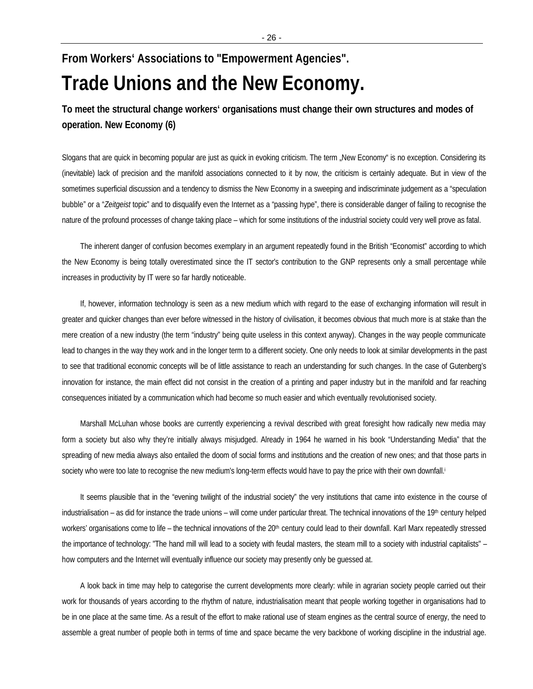# **From Workers' Associations to "Empowerment Agencies". Trade Unions and the New Economy.**

**To meet the structural change workers' organisations must change their own structures and modes of operation. New Economy (6)**

Slogans that are quick in becoming popular are just as quick in evoking criticism. The term "New Economy" is no exception. Considering its (inevitable) lack of precision and the manifold associations connected to it by now, the criticism is certainly adequate. But in view of the sometimes superficial discussion and a tendency to dismiss the New Economy in a sweeping and indiscriminate judgement as a "speculation bubble" or a "*Zeitgeist* topic" and to disqualify even the Internet as a "passing hype", there is considerable danger of failing to recognise the nature of the profound processes of change taking place – which for some institutions of the industrial society could very well prove as fatal.

The inherent danger of confusion becomes exemplary in an argument repeatedly found in the British "Economist" according to which the New Economy is being totally overestimated since the IT sector's contribution to the GNP represents only a small percentage while increases in productivity by IT were so far hardly noticeable.

If, however, information technology is seen as a new medium which with regard to the ease of exchanging information will result in greater and quicker changes than ever before witnessed in the history of civilisation, it becomes obvious that much more is at stake than the mere creation of a new industry (the term "industry" being quite useless in this context anyway). Changes in the way people communicate lead to changes in the way they work and in the longer term to a different society. One only needs to look at similar developments in the past to see that traditional economic concepts will be of little assistance to reach an understanding for such changes. In the case of Gutenberg's innovation for instance, the main effect did not consist in the creation of a printing and paper industry but in the manifold and far reaching consequences initiated by a communication which had become so much easier and which eventually revolutionised society.

Marshall McLuhan whose books are currently experiencing a revival described with great foresight how radically new media may form a society but also why they're initially always misjudged. Already in 1964 he warned in his book "Understanding Media" that the spreading of new media always also entailed the doom of social forms and institutions and the creation of new ones; and that those parts in society who were too late to recognise the new medium's long-term effects would have to pay the price with their own downfall.

It seems plausible that in the "evening twilight of the industrial society" the very institutions that came into existence in the course of industrialisation – as did for instance the trade unions – will come under particular threat. The technical innovations of the 19th century helped workers' organisations come to life – the technical innovations of the 20<sup>th</sup> century could lead to their downfall. Karl Marx repeatedly stressed the importance of technology: "The hand mill will lead to a society with feudal masters, the steam mill to a society with industrial capitalists" – how computers and the Internet will eventually influence our society may presently only be guessed at.

A look back in time may help to categorise the current developments more clearly: while in agrarian society people carried out their work for thousands of years according to the rhythm of nature, industrialisation meant that people working together in organisations had to be in one place at the same time. As a result of the effort to make rational use of steam engines as the central source of energy, the need to assemble a great number of people both in terms of time and space became the very backbone of working discipline in the industrial age.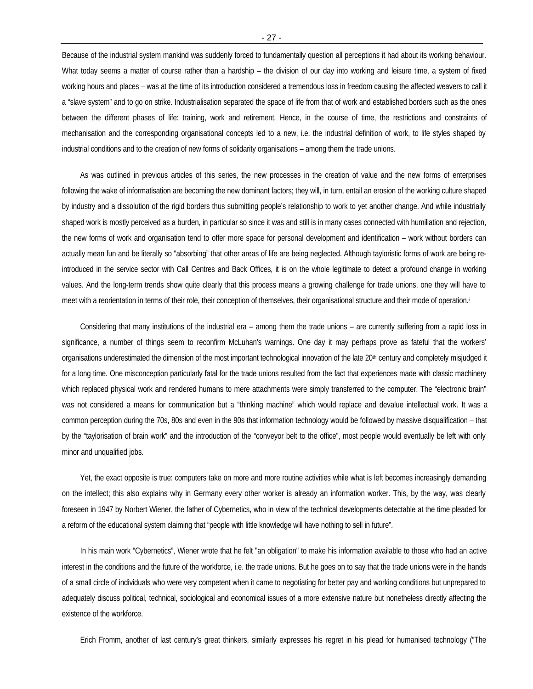Because of the industrial system mankind was suddenly forced to fundamentally question all perceptions it had about its working behaviour. What today seems a matter of course rather than a hardship – the division of our day into working and leisure time, a system of fixed working hours and places – was at the time of its introduction considered a tremendous loss in freedom causing the affected weavers to call it a "slave system" and to go on strike. Industrialisation separated the space of life from that of work and established borders such as the ones between the different phases of life: training, work and retirement. Hence, in the course of time, the restrictions and constraints of mechanisation and the corresponding organisational concepts led to a new, i.e. the industrial definition of work, to life styles shaped by industrial conditions and to the creation of new forms of solidarity organisations – among them the trade unions.

As was outlined in previous articles of this series, the new processes in the creation of value and the new forms of enterprises following the wake of informatisation are becoming the new dominant factors; they will, in turn, entail an erosion of the working culture shaped by industry and a dissolution of the rigid borders thus submitting people's relationship to work to yet another change. And while industrially shaped work is mostly perceived as a burden, in particular so since it was and still is in many cases connected with humiliation and rejection, the new forms of work and organisation tend to offer more space for personal development and identification – work without borders can actually mean fun and be literally so "absorbing" that other areas of life are being neglected. Although tayloristic forms of work are being reintroduced in the service sector with Call Centres and Back Offices, it is on the whole legitimate to detect a profound change in working values. And the long-term trends show quite clearly that this process means a growing challenge for trade unions, one they will have to meet with a reorientation in terms of their role, their conception of themselves, their organisational structure and their mode of operation.<sup>ii</sup>

Considering that many institutions of the industrial era – among them the trade unions – are currently suffering from a rapid loss in significance, a number of things seem to reconfirm McLuhan's warnings. One day it may perhaps prove as fateful that the workers' organisations underestimated the dimension of the most important technological innovation of the late 20<sup>th</sup> century and completely misjudged it for a long time. One misconception particularly fatal for the trade unions resulted from the fact that experiences made with classic machinery which replaced physical work and rendered humans to mere attachments were simply transferred to the computer. The "electronic brain" was not considered a means for communication but a "thinking machine" which would replace and devalue intellectual work. It was a common perception during the 70s, 80s and even in the 90s that information technology would be followed by massive disqualification – that by the "taylorisation of brain work" and the introduction of the "conveyor belt to the office", most people would eventually be left with only minor and unqualified jobs.

Yet, the exact opposite is true: computers take on more and more routine activities while what is left becomes increasingly demanding on the intellect; this also explains why in Germany every other worker is already an information worker. This, by the way, was clearly foreseen in 1947 by Norbert Wiener, the father of Cybernetics, who in view of the technical developments detectable at the time pleaded for a reform of the educational system claiming that "people with little knowledge will have nothing to sell in future".

In his main work "Cybernetics", Wiener wrote that he felt "an obligation" to make his information available to those who had an active interest in the conditions and the future of the workforce, i.e. the trade unions. But he goes on to say that the trade unions were in the hands of a small circle of individuals who were very competent when it came to negotiating for better pay and working conditions but unprepared to adequately discuss political, technical, sociological and economical issues of a more extensive nature but nonetheless directly affecting the existence of the workforce.

Erich Fromm, another of last century's great thinkers, similarly expresses his regret in his plead for humanised technology ("The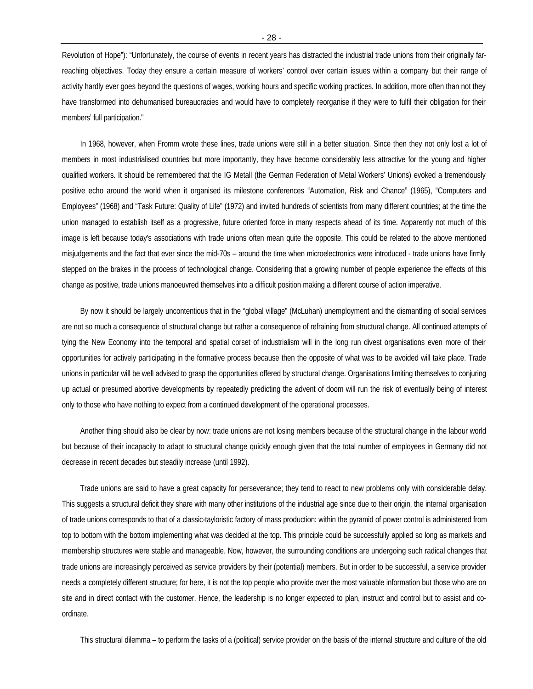Revolution of Hope"): "Unfortunately, the course of events in recent years has distracted the industrial trade unions from their originally farreaching objectives. Today they ensure a certain measure of workers' control over certain issues within a company but their range of activity hardly ever goes beyond the questions of wages, working hours and specific working practices. In addition, more often than not they have transformed into dehumanised bureaucracies and would have to completely reorganise if they were to fulfil their obligation for their members' full participation."

In 1968, however, when Fromm wrote these lines, trade unions were still in a better situation. Since then they not only lost a lot of members in most industrialised countries but more importantly, they have become considerably less attractive for the young and higher qualified workers. It should be remembered that the IG Metall (the German Federation of Metal Workers' Unions) evoked a tremendously positive echo around the world when it organised its milestone conferences "Automation, Risk and Chance" (1965), "Computers and Employees" (1968) and "Task Future: Quality of Life" (1972) and invited hundreds of scientists from many different countries; at the time the union managed to establish itself as a progressive, future oriented force in many respects ahead of its time. Apparently not much of this image is left because today's associations with trade unions often mean quite the opposite. This could be related to the above mentioned misjudgements and the fact that ever since the mid-70s – around the time when microelectronics were introduced - trade unions have firmly stepped on the brakes in the process of technological change. Considering that a growing number of people experience the effects of this change as positive, trade unions manoeuvred themselves into a difficult position making a different course of action imperative.

By now it should be largely uncontentious that in the "global village" (McLuhan) unemployment and the dismantling of social services are not so much a consequence of structural change but rather a consequence of refraining from structural change. All continued attempts of tying the New Economy into the temporal and spatial corset of industrialism will in the long run divest organisations even more of their opportunities for actively participating in the formative process because then the opposite of what was to be avoided will take place. Trade unions in particular will be well advised to grasp the opportunities offered by structural change. Organisations limiting themselves to conjuring up actual or presumed abortive developments by repeatedly predicting the advent of doom will run the risk of eventually being of interest only to those who have nothing to expect from a continued development of the operational processes.

Another thing should also be clear by now: trade unions are not losing members because of the structural change in the labour world but because of their incapacity to adapt to structural change quickly enough given that the total number of employees in Germany did not decrease in recent decades but steadily increase (until 1992).

Trade unions are said to have a great capacity for perseverance; they tend to react to new problems only with considerable delay. This suggests a structural deficit they share with many other institutions of the industrial age since due to their origin, the internal organisation of trade unions corresponds to that of a classic-tayloristic factory of mass production: within the pyramid of power control is administered from top to bottom with the bottom implementing what was decided at the top. This principle could be successfully applied so long as markets and membership structures were stable and manageable. Now, however, the surrounding conditions are undergoing such radical changes that trade unions are increasingly perceived as service providers by their (potential) members. But in order to be successful, a service provider needs a completely different structure; for here, it is not the top people who provide over the most valuable information but those who are on site and in direct contact with the customer. Hence, the leadership is no longer expected to plan, instruct and control but to assist and coordinate.

This structural dilemma – to perform the tasks of a (political) service provider on the basis of the internal structure and culture of the old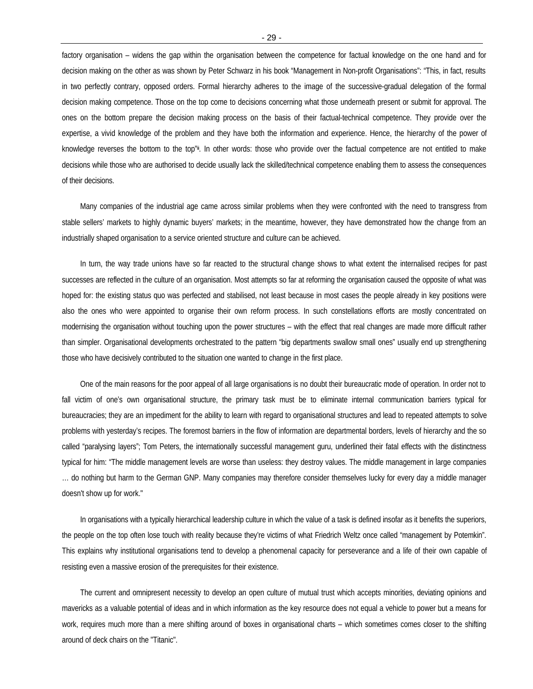factory organisation – widens the gap within the organisation between the competence for factual knowledge on the one hand and for decision making on the other as was shown by Peter Schwarz in his book "Management in Non-profit Organisations": "This, in fact, results in two perfectly contrary, opposed orders. Formal hierarchy adheres to the image of the successive-gradual delegation of the formal decision making competence. Those on the top come to decisions concerning what those underneath present or submit for approval. The ones on the bottom prepare the decision making process on the basis of their factual-technical competence. They provide over the expertise, a vivid knowledge of the problem and they have both the information and experience. Hence, the hierarchy of the power of knowledge reverses the bottom to the top"<sup>ii</sup>. In other words: those who provide over the factual competence are not entitled to make decisions while those who are authorised to decide usually lack the skilled/technical competence enabling them to assess the consequences of their decisions.

Many companies of the industrial age came across similar problems when they were confronted with the need to transgress from stable sellers' markets to highly dynamic buyers' markets; in the meantime, however, they have demonstrated how the change from an industrially shaped organisation to a service oriented structure and culture can be achieved.

In turn, the way trade unions have so far reacted to the structural change shows to what extent the internalised recipes for past successes are reflected in the culture of an organisation. Most attempts so far at reforming the organisation caused the opposite of what was hoped for: the existing status quo was perfected and stabilised, not least because in most cases the people already in key positions were also the ones who were appointed to organise their own reform process. In such constellations efforts are mostly concentrated on modernising the organisation without touching upon the power structures – with the effect that real changes are made more difficult rather than simpler. Organisational developments orchestrated to the pattern "big departments swallow small ones" usually end up strengthening those who have decisively contributed to the situation one wanted to change in the first place.

One of the main reasons for the poor appeal of all large organisations is no doubt their bureaucratic mode of operation. In order not to fall victim of one's own organisational structure, the primary task must be to eliminate internal communication barriers typical for bureaucracies; they are an impediment for the ability to learn with regard to organisational structures and lead to repeated attempts to solve problems with yesterday's recipes. The foremost barriers in the flow of information are departmental borders, levels of hierarchy and the so called "paralysing layers"; Tom Peters, the internationally successful management guru, underlined their fatal effects with the distinctness typical for him: "The middle management levels are worse than useless: they destroy values. The middle management in large companies … do nothing but harm to the German GNP. Many companies may therefore consider themselves lucky for every day a middle manager doesn't show up for work."

In organisations with a typically hierarchical leadership culture in which the value of a task is defined insofar as it benefits the superiors, the people on the top often lose touch with reality because they're victims of what Friedrich Weltz once called "management by Potemkin". This explains why institutional organisations tend to develop a phenomenal capacity for perseverance and a life of their own capable of resisting even a massive erosion of the prerequisites for their existence.

The current and omnipresent necessity to develop an open culture of mutual trust which accepts minorities, deviating opinions and mavericks as a valuable potential of ideas and in which information as the key resource does not equal a vehicle to power but a means for work, requires much more than a mere shifting around of boxes in organisational charts – which sometimes comes closer to the shifting around of deck chairs on the "Titanic".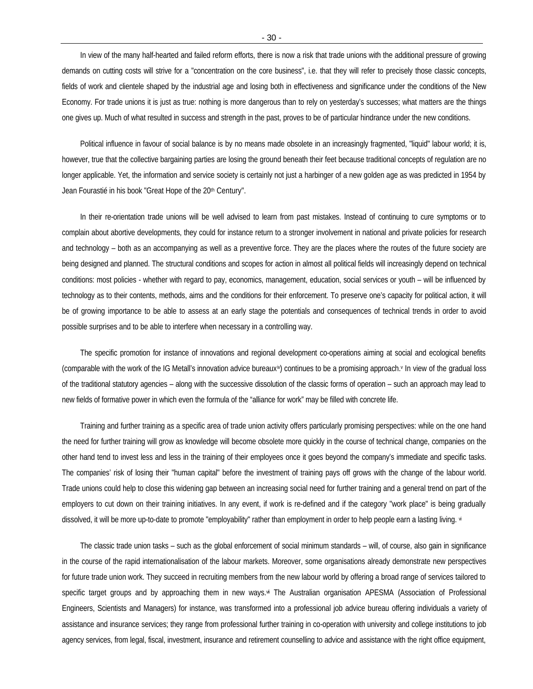In view of the many half-hearted and failed reform efforts, there is now a risk that trade unions with the additional pressure of growing demands on cutting costs will strive for a "concentration on the core business", i.e. that they will refer to precisely those classic concepts, fields of work and clientele shaped by the industrial age and losing both in effectiveness and significance under the conditions of the New Economy. For trade unions it is just as true: nothing is more dangerous than to rely on yesterday's successes; what matters are the things one gives up. Much of what resulted in success and strength in the past, proves to be of particular hindrance under the new conditions.

Political influence in favour of social balance is by no means made obsolete in an increasingly fragmented, "liquid" labour world; it is, however, true that the collective bargaining parties are losing the ground beneath their feet because traditional concepts of regulation are no longer applicable. Yet, the information and service society is certainly not just a harbinger of a new golden age as was predicted in 1954 by Jean Fourastié in his book "Great Hope of the 20<sup>th</sup> Century".

In their re-orientation trade unions will be well advised to learn from past mistakes. Instead of continuing to cure symptoms or to complain about abortive developments, they could for instance return to a stronger involvement in national and private policies for research and technology – both as an accompanying as well as a preventive force. They are the places where the routes of the future society are being designed and planned. The structural conditions and scopes for action in almost all political fields will increasingly depend on technical conditions: most policies - whether with regard to pay, economics, management, education, social services or youth – will be influenced by technology as to their contents, methods, aims and the conditions for their enforcement. To preserve one's capacity for political action, it will be of growing importance to be able to assess at an early stage the potentials and consequences of technical trends in order to avoid possible surprises and to be able to interfere when necessary in a controlling way.

The specific promotion for instance of innovations and regional development co-operations aiming at social and ecological benefits (comparable with the work of the IG Metall's innovation advice bureaux<sup>ij</sup>) continues to be a promising approach.<sup>*v*</sup> In view of the gradual loss of the traditional statutory agencies – along with the successive dissolution of the classic forms of operation – such an approach may lead to new fields of formative power in which even the formula of the "alliance for work" may be filled with concrete life.

Training and further training as a specific area of trade union activity offers particularly promising perspectives: while on the one hand the need for further training will grow as knowledge will become obsolete more quickly in the course of technical change, companies on the other hand tend to invest less and less in the training of their employees once it goes beyond the company's immediate and specific tasks. The companies' risk of losing their "human capital" before the investment of training pays off grows with the change of the labour world. Trade unions could help to close this widening gap between an increasing social need for further training and a general trend on part of the employers to cut down on their training initiatives. In any event, if work is re-defined and if the category "work place" is being gradually dissolved, it will be more up-to-date to promote "employability" rather than employment in order to help people earn a lasting living. vi

The classic trade union tasks – such as the global enforcement of social minimum standards – will, of course, also gain in significance in the course of the rapid internationalisation of the labour markets. Moreover, some organisations already demonstrate new perspectives for future trade union work. They succeed in recruiting members from the new labour world by offering a broad range of services tailored to specific target groups and by approaching them in new ways.<sup>\*</sup> The Australian organisation APESMA (Association of Professional Engineers, Scientists and Managers) for instance, was transformed into a professional job advice bureau offering individuals a variety of assistance and insurance services; they range from professional further training in co-operation with university and college institutions to job agency services, from legal, fiscal, investment, insurance and retirement counselling to advice and assistance with the right office equipment,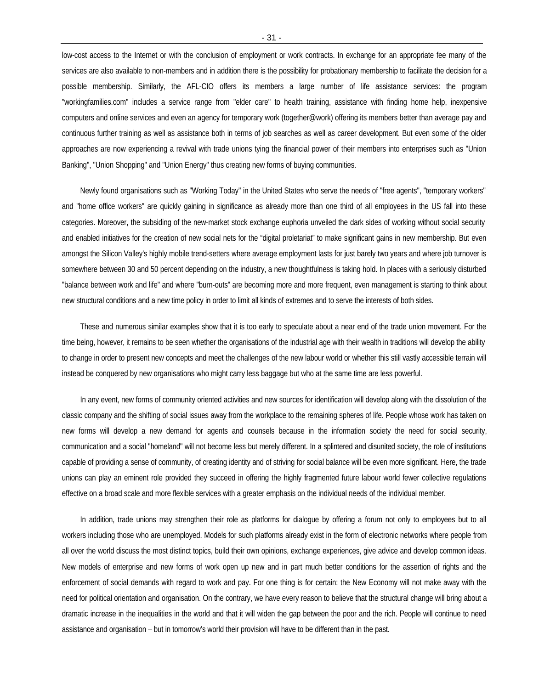low-cost access to the Internet or with the conclusion of employment or work contracts. In exchange for an appropriate fee many of the services are also available to non-members and in addition there is the possibility for probationary membership to facilitate the decision for a possible membership. Similarly, the AFL-CIO offers its members a large number of life assistance services: the program "workingfamilies.com" includes a service range from "elder care" to health training, assistance with finding home help, inexpensive computers and online services and even an agency for temporary work (together@work) offering its members better than average pay and continuous further training as well as assistance both in terms of job searches as well as career development. But even some of the older approaches are now experiencing a revival with trade unions tying the financial power of their members into enterprises such as "Union Banking", "Union Shopping" and "Union Energy" thus creating new forms of buying communities.

Newly found organisations such as "Working Today" in the United States who serve the needs of "free agents", "temporary workers" and "home office workers" are quickly gaining in significance as already more than one third of all employees in the US fall into these categories. Moreover, the subsiding of the new-market stock exchange euphoria unveiled the dark sides of working without social security and enabled initiatives for the creation of new social nets for the "digital proletariat" to make significant gains in new membership. But even amongst the Silicon Valley's highly mobile trend-setters where average employment lasts for just barely two years and where job turnover is somewhere between 30 and 50 percent depending on the industry, a new thoughtfulness is taking hold. In places with a seriously disturbed "balance between work and life" and where "burn-outs" are becoming more and more frequent, even management is starting to think about new structural conditions and a new time policy in order to limit all kinds of extremes and to serve the interests of both sides.

These and numerous similar examples show that it is too early to speculate about a near end of the trade union movement. For the time being, however, it remains to be seen whether the organisations of the industrial age with their wealth in traditions will develop the ability to change in order to present new concepts and meet the challenges of the new labour world or whether this still vastly accessible terrain will instead be conquered by new organisations who might carry less baggage but who at the same time are less powerful.

In any event, new forms of community oriented activities and new sources for identification will develop along with the dissolution of the classic company and the shifting of social issues away from the workplace to the remaining spheres of life. People whose work has taken on new forms will develop a new demand for agents and counsels because in the information society the need for social security, communication and a social "homeland" will not become less but merely different. In a splintered and disunited society, the role of institutions capable of providing a sense of community, of creating identity and of striving for social balance will be even more significant. Here, the trade unions can play an eminent role provided they succeed in offering the highly fragmented future labour world fewer collective regulations effective on a broad scale and more flexible services with a greater emphasis on the individual needs of the individual member.

In addition, trade unions may strengthen their role as platforms for dialogue by offering a forum not only to employees but to all workers including those who are unemployed. Models for such platforms already exist in the form of electronic networks where people from all over the world discuss the most distinct topics, build their own opinions, exchange experiences, give advice and develop common ideas. New models of enterprise and new forms of work open up new and in part much better conditions for the assertion of rights and the enforcement of social demands with regard to work and pay. For one thing is for certain: the New Economy will not make away with the need for political orientation and organisation. On the contrary, we have every reason to believe that the structural change will bring about a dramatic increase in the inequalities in the world and that it will widen the gap between the poor and the rich. People will continue to need assistance and organisation – but in tomorrow's world their provision will have to be different than in the past.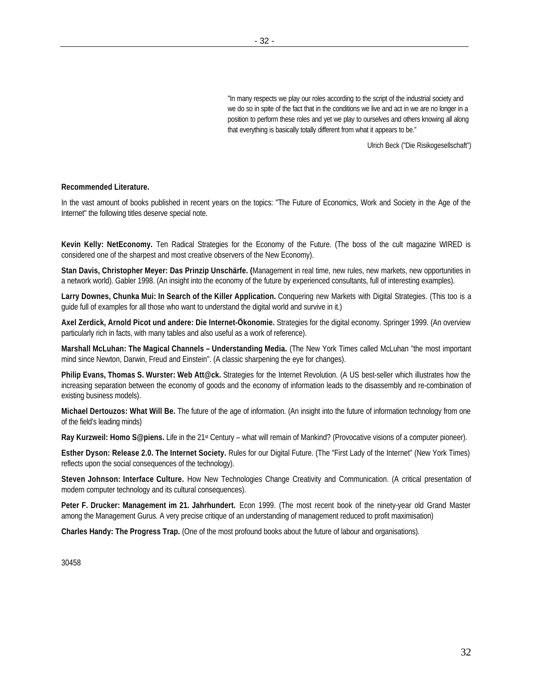"In many respects we play our roles according to the script of the industrial society and we do so in spite of the fact that in the conditions we live and act in we are no longer in a position to perform these roles and yet we play to ourselves and others knowing all along that everything is basically totally different from what it appears to be."

Ulrich Beck ("Die Risikogesellschaft")

#### **Recommended Literature.**

In the vast amount of books published in recent years on the topics: "The Future of Economics, Work and Society in the Age of the Internet" the following titles deserve special note.

**Kevin Kelly: NetEconomy.** Ten Radical Strategies for the Economy of the Future. (The boss of the cult magazine WIRED is considered one of the sharpest and most creative observers of the New Economy).

**Stan Davis, Christopher Meyer: Das Prinzip Unschärfe. (**Management in real time, new rules, new markets, new opportunities in a network world). Gabler 1998. (An insight into the economy of the future by experienced consultants, full of interesting examples).

**Larry Downes, Chunka Mui: In Search of the Killer Application.** Conquering new Markets with Digital Strategies. (This too is a guide full of examples for all those who want to understand the digital world and survive in it.)

**Axel Zerdick, Arnold Picot und andere: Die Internet-Ökonomie.** Strategies for the digital economy. Springer 1999. (An overview particularly rich in facts, with many tables and also useful as a work of reference).

**Marshall McLuhan: The Magical Channels – Understanding Media.** (The New York Times called McLuhan "the most important mind since Newton, Darwin, Freud and Einstein". (A classic sharpening the eye for changes).

**Philip Evans, Thomas S. Wurster: Web Att@ck.** Strategies for the Internet Revolution. (A US best-seller which illustrates how the increasing separation between the economy of goods and the economy of information leads to the disassembly and re-combination of existing business models).

**Michael Dertouzos: What Will Be.** The future of the age of information. (An insight into the future of information technology from one of the field's leading minds)

Ray Kurzweil: Homo S@piens. Life in the 21<sup>st</sup> Century – what will remain of Mankind? (Provocative visions of a computer pioneer).

**Esther Dyson: Release 2.0. The Internet Society.** Rules for our Digital Future. (The "First Lady of the Internet" (New York Times) reflects upon the social consequences of the technology).

**Steven Johnson: Interface Culture.** How New Technologies Change Creativity and Communication. (A critical presentation of modern computer technology and its cultural consequences).

**Peter F. Drucker: Management im 21. Jahrhundert.** Econ 1999. (The most recent book of the ninety-year old Grand Master among the Management Gurus. A very precise critique of an understanding of management reduced to profit maximisation)

**Charles Handy: The Progress Trap.** (One of the most profound books about the future of labour and organisations).

30458